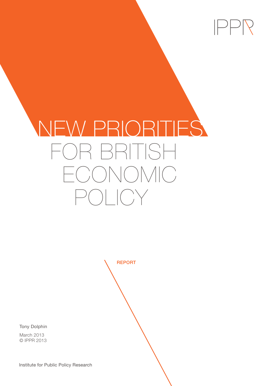

# NEW PRIORITIES OR BRITISH ECONOMIC POLICY

**REPORT** 

Tony Dolphin

March 2013 © IPPR 2013

Institute for Public Policy Research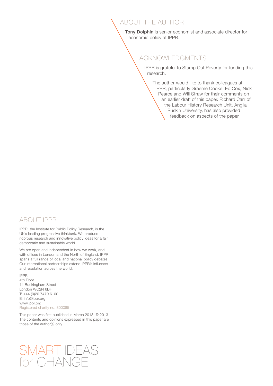### ABOUT THE AUTHOR

Tony Dolphin is senior economist and associate director for economic policy at IPPR.

### ACKNOWLEDGMENTS

IPPR is grateful to Stamp Out Poverty for funding this research.

The author would like to thank colleagues at IPPR, particularly Graeme Cooke, Ed Cox, Nick Pearce and Will Straw for their comments on an earlier draft of this paper. Richard Carr of the Labour History Research Unit, Anglia Ruskin University, has also provided feedback on aspects of the paper.

#### ABOUT IPPR

IPPR, the Institute for Public Policy Research, is the UK's leading progressive thinktank. We produce rigorous research and innovative policy ideas for a fair, democratic and sustainable world.

We are open and independent in how we work, and with offices in London and the North of England, IPPR spans a full range of local and national policy debates. Our international partnerships extend IPPR's influence and reputation across the world.

IPPR 4th Floor 14 Buckingham Street London WC2N 6DF T: +44 (0)20 7470 6100 E: info@ippr.org www.ippr.org Registered charity no. 800065

This paper was first published in March 2013. © 2013 The contents and opinions expressed in this paper are those of the author(s) only.

## SMART IDEAS for CHANGE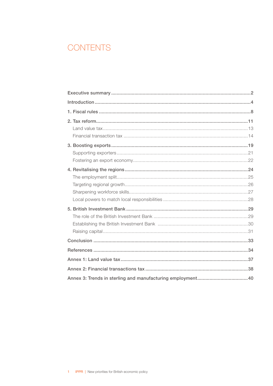### CONTENTS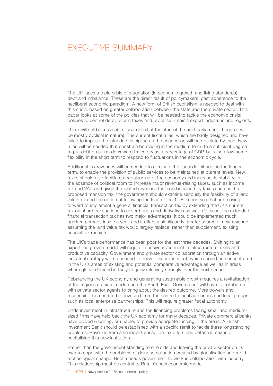### <span id="page-3-0"></span> EXECUTIVE SUMMARY

The UK faces a triple crisis of stagnation (in economic growth and living standards), debt and imbalance. These are the direct result of policymakers' past adherence to the neoliberal economic paradigm. A new form of British capitalism is needed to deal with this crisis, based on greater collaboration between the state and the private sector. This paper looks at some of the policies that will be needed to tackle the economic crisis: policies to control debt, reform taxes and revitalise Britain's export industries and regions.

There will still be a sizeable fiscal deficit at the start of the next parliament (though it will be mostly cyclical in nature). The current fiscal rules, which are badly designed and have failed to impose the intended discipline on the chancellor, will be obsolete by then. New rules will be needed that constrain borrowing in the medium term, to a sufficient degree to put debt on a firm downward trajectory as a percentage of GDP, but also allow some flexibility in the short term to respond to fluctuations in the economic cycle.

Additional tax revenues will be needed to eliminate the fiscal deficit and, in the longer term, to enable the provision of public services to be maintained at current levels. New taxes should also facilitate a rebalancing of the economy and increase its stability. In the absence of political room to increase major revenue-raising taxes, such as income tax and VAT, and given the limited revenues that can be raised by taxes such as the proposed mansion tax, the government should examine seriously the feasibility of a land value tax and the option of following the lead of the 11 EU countries that are moving forward to implement a general financial transaction tax by extending the UK's current tax on share transactions to cover bonds and derivatives as well. Of these, the extended financial transaction tax has two major advantages: it could be implemented much quicker, perhaps inside a year, and it offers a significantly greater source of new revenue, assuming the land value tax would largely replace, rather than supplement, existing council tax receipts.

The UK's trade performance has been poor for the last three decades. Shifting to an export-led growth model will require intensive investment in infrastructure, skills and productive capacity. Government and private sector collaboration through an active industrial strategy will be needed to deliver this investment, which should be concentrated in the UK's areas of existing and potential comparative advantage as well as in areas where global demand is likely to grow relatively strongly over the next decade.

Rebalancing the UK economy and generating sustainable growth requires a revitalisation of the regions outside London and the South East. Government will have to collaborate with private sector agents to bring about the desired outcome. More powers and responsibilities need to be devolved from the centre to local authorities and local groups, such as local enterprise partnerships. This will require greater fiscal autonomy.

Underinvestment in infrastructure and the financing problems facing small and mediumsized firms have held back the UK economy for many decades. Private commercial banks have proved unwilling, or unable, to provide adequate funding in the areas. A British Investment Bank should be established with a specific remit to tackle these longstanding problems. Revenue from a financial transaction tax offers one potential means of capitalising this new institution.

Rather than the government standing to one side and leaving the private sector on its own to cope with the problems of deindustrialisation created by globalisation and rapid technological change, Britain needs government to work in collaboration with industry. This relationship must be central to Britain's new economic model.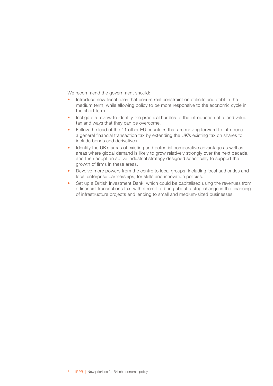We recommend the government should:

- Introduce new fiscal rules that ensure real constraint on deficits and debt in the medium term, while allowing policy to be more responsive to the economic cycle in the short term.
- Instigate a review to identify the practical hurdles to the introduction of a land value tax and ways that they can be overcome.
- Follow the lead of the 11 other EU countries that are moving forward to introduce a general financial transaction tax by extending the UK's existing tax on shares to include bonds and derivatives.
- Identify the UK's areas of existing and potential comparative advantage as well as areas where global demand is likely to grow relatively strongly over the next decade, and then adopt an active industrial strategy designed specifically to support the growth of firms in these areas.
- Devolve more powers from the centre to local groups, including local authorities and local enterprise partnerships, for skills and innovation policies.
- Set up a British Investment Bank, which could be capitalised using the revenues from a financial transactions tax, with a remit to bring about a step-change in the financing of infrastructure projects and lending to small and medium-sized businesses.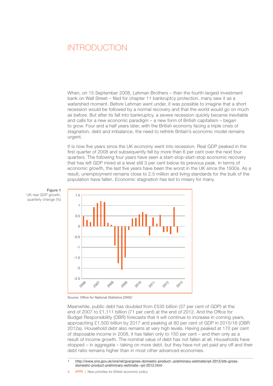### <span id="page-5-0"></span> INTRODUCTION

When, on 15 September 2008, Lehman Brothers – then the fourth-largest investment bank on Wall Street – filed for chapter 11 bankruptcy protection, many saw it as a watershed moment. Before Lehman went under, it was possible to imagine that a short recession would be followed by a normal recovery and that the world would go on much as before. But after its fall into bankruptcy, a severe recession quickly became inevitable and calls for a new economic paradigm – a new form of British capitalism – began to grow. Four and a half years later, with the British economy facing a triple crisis of stagnation, debt and imbalance, the need to rethink Britain's economic model remains urgent.

It is now five years since the UK economy went into recession. Real GDP peaked in the first quarter of 2008 and subsequently fell by more than 6 per cent over the next four quarters. The following four years have seen a start-stop-start-stop economic recovery that has left GDP mired at a level still 3 per cent below its previous peak. In terms of economic growth, the last five years have been the worst in the UK since the 1930s. As a result, unemployment remains close to 2.5 million and living standards for the bulk of the population have fallen. Economic stagnation has led to misery for many.





Source: Office for National Statistics (ONS)<sup>1</sup>

Meanwhile, public debt has doubled from £535 billion (37 per cent of GDP) at the end of 2007 to £1,111 billion (71 per cent) at the end of 2012. And the Office for Budget Responsibility (OBR) forecasts that it will continue to increase in coming years, approaching £1,500 billion by 2017 and peaking at 80 per cent of GDP in 2015/16 (OBR 2012a). Household debt also remains at very high levels. Having peaked at 170 per cent of disposable income in 2008, it has fallen only to 150 per cent – and then only as a result of income growth. The nominal value of debt has not fallen at all. Households have stopped – in aggregate – taking on more debt, but they have not yet paid any off and their debt ratio remains higher than in most other advanced economies.

1 [http://www.ons.gov.uk/ons/rel/gva/gross-domestic-product--preliminary-estimate/q4-2012/stb-gross](http://www.ons.gov.uk/ons/rel/gva/gross-domestic-product--preliminary-estimate/q4-2012/stb-gross-domestic-product-preliminary-estimate--q4-2012.html)[domestic-product-preliminary-estimate--q4-2012.html](http://www.ons.gov.uk/ons/rel/gva/gross-domestic-product--preliminary-estimate/q4-2012/stb-gross-domestic-product-preliminary-estimate--q4-2012.html)

**IPPR** | New priorities for British economic policy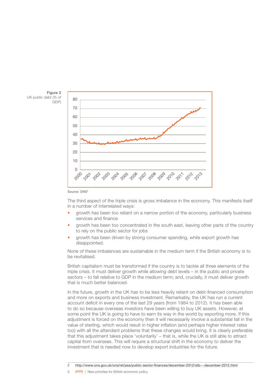

Figure 2 UK public debt (% of GDP)



The third aspect of the triple crisis is gross imbalance in the economy. This manifests itself in a number of interrelated ways:

- growth has been too reliant on a narrow portion of the economy, particularly business services and finance
- growth has been too concentrated in the south east, leaving other parts of the country to rely on the public sector for jobs
- growth has been driven by strong consumer spending, while export growth has disappointed.

None of these imbalances are sustainable in the medium term if the British economy is to be revitalised.

British capitalism must be transformed if the country is to tackle all three elements of the triple crisis. It must deliver growth while allowing debt levels – in the public and private sectors – to fall relative to GDP in the medium term; and, crucially, it must deliver growth that is much better balanced.

In the future, growth in the UK has to be less heavily reliant on debt-financed consumption and more on exports and business investment. Remarkably, the UK has run a current account deficit in every one of the last 29 years (from 1984 to 2012). It has been able to do so because overseas investors have been willing to buy UK assets. However, at some point the UK is going to have to earn its way in the world by exporting more. If this adjustment is forced on the economy then it will necessarily involve a substantial fall in the value of sterling, which would result in higher inflation (and perhaps higher interest rates too) with all the attendant problems that these changes would bring. It is clearly preferable that this adjustment takes place 'voluntarily' – that is, while the UK is still able to attract capital from overseas. This will require a structural shift in the economy to deliver the investment that is needed now to develop export industries for the future.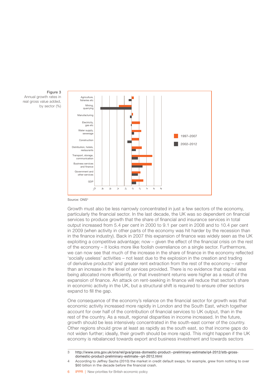Figure 3 Annual growth rates in real gross value added, by sector (%)



Source: ONS3

Growth must also be less narrowly concentrated in just a few sectors of the economy, particularly the financial sector. In the last decade, the UK was so dependent on financial services to produce growth that the share of financial and insurance services in total output increased from 5.4 per cent in 2000 to 9.1 per cent in 2008 and to 10.4 per cent in 2009 (when activity in other parts of the economy was hit harder by the recession than in the finance industry). Back in 2007 this expansion of finance was widely seen as the UK exploiting a competitive advantage; now – given the effect of the financial crisis on the rest of the economy – it looks more like foolish overreliance on a single sector. Furthermore, we can now see that much of the increase in the share of finance in the economy reflected 'socially useless' activities – not least due to the explosion in the creation and trading of derivative products4 and greater rent extraction from the rest of the economy – rather than an increase in the level of services provided. There is no evidence that capital was being allocated more efficiently, or that investment returns were higher as a result of the expansion of finance. An attack on rent-seeking in finance will reduce that sector's share in economic activity in the UK, but a structural shift is required to ensure other sectors expand to fill the gap.

One consequence of the economy's reliance on the financial sector for growth was that economic activity increased more rapidly in London and the South East, which together account for over half of the contribution of financial services to UK output, than in the rest of the country. As a result, regional disparities in income increased. In the future, growth should be less intensively concentrated in the south-east corner of the country. Other regions should grow at least as rapidly as the south east, so that income gaps do not widen further; ideally, their growth should be more rapid. This might happen if the UK economy is rebalanced towards export and business investment and towards sectors

6 IPPR | New priorities for British economic policy

<sup>3</sup> [http://www.ons.gov.uk/ons/rel/gva/gross-domestic-product--preliminary-estimate/q4-2012/stb-gross](http://www.ons.gov.uk/ons/rel/gva/gross-domestic-product--preliminary-estimate/q4-2012/stb-gross-domestic-product-preliminary-estimate--q4-2012.html)[domestic-product-preliminary-estimate--q4-2012.html](http://www.ons.gov.uk/ons/rel/gva/gross-domestic-product--preliminary-estimate/q4-2012/stb-gross-domestic-product-preliminary-estimate--q4-2012.html)

<sup>4</sup> According to Jeffrey Sachs (2010) the market in credit default swaps, for example, grew from nothing to over \$60 billion in the decade before the financial crash.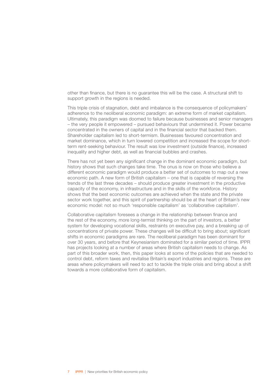other than finance, but there is no guarantee this will be the case. A structural shift to support growth in the regions is needed.

This triple crisis of stagnation, debt and imbalance is the consequence of policymakers' adherence to the neoliberal economic paradigm: an extreme form of market capitalism. Ultimately, this paradigm was doomed to failure because businesses and senior managers – the very people it empowered – pursued behaviours that undermined it. Power became concentrated in the owners of capital and in the financial sector that backed them. Shareholder capitalism led to short-termism. Businesses favoured concentration and market dominance, which in turn lowered competition and increased the scope for shortterm rent-seeking behaviour. The result was low investment (outside finance), increased inequality and higher debt, as well as financial bubbles and crashes.

There has not yet been any significant change in the dominant economic paradigm, but history shows that such changes take time. The onus is now on those who believe a different economic paradigm would produce a better set of outcomes to map out a new economic path. A new form of British capitalism – one that is capable of reversing the trends of the last three decades – should produce greater investment in the productive capacity of the economy, in infrastructure and in the skills of the workforce. History shows that the best economic outcomes are achieved when the state and the private sector work together, and this spirit of partnership should be at the heart of Britain's new economic model: not so much 'responsible capitalism' as 'collaborative capitalism'.

Collaborative capitalism foresees a change in the relationship between finance and the rest of the economy, more long-termist thinking on the part of investors, a better system for developing vocational skills, restraints on executive pay, and a breaking up of concentrations of private power. These changes will be difficult to bring about; significant shifts in economic paradigms are rare. The neoliberal paradigm has been dominant for over 30 years, and before that Keynesianism dominated for a similar period of time. IPPR has projects looking at a number of areas where British capitalism needs to change. As part of this broader work, then, this paper looks at some of the policies that are needed to control debt, reform taxes and revitalise Britain's export industries and regions. These are areas where policymakers will need to act to tackle the triple crisis and bring about a shift towards a more collaborative form of capitalism.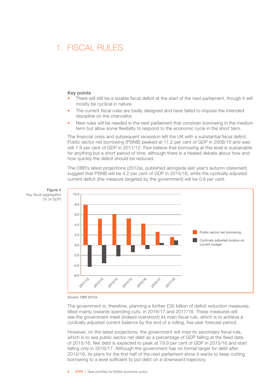### <span id="page-9-0"></span>1. FISCAL RULES

#### Key points

- There will still be a sizable fiscal deficit at the start of the next parliament, though it will mostly be cyclical in nature.
- The current fiscal rules are badly designed and have failed to impose the intended discipline on the chancellor.
- New rules will be needed in the next parliament that constrain borrowing in the medium term but allow some flexibility to respond to the economic cycle in the short term.

The financial crisis and subsequent recession left the UK with a substantial fiscal deficit. Public sector net borrowing (PSNB) peaked at 11.2 per cent of GDP in 2009/10 and was still 7.9 per cent of GDP in 2011/12. Few believe that borrowing at this level is sustainable for anything but a short period of time, although there is a heated debate about how and how quickly the deficit should be reduced.

The OBR's latest projections (2012a), published alongside last year's autumn statement, suggest that PSNB will be 4.2 per cent of GDP in 2015/16, while the cyclically adjusted current deficit (the measure targeted by the government) will be 0.8 per cent.





Source: OBR 2012a

The government is, therefore, planning a further £30 billion of deficit reduction measures, tilted mainly towards spending cuts, in 2016/17 and 2017/18. These measures will see the government meet (indeed overshoot) its main fiscal rule, which is to achieve a cyclically adjusted current balance by the end of a rolling, five-year forecast period.

However, on the latest projections, the government will miss its secondary fiscal rule, which is to see public sector net debt as a percentage of GDP falling at the fixed date of 2015/16. Net debt is expected to peak at 79.9 per cent of GDP in 2015/16 and start falling only in 2016/17. Although the government has no formal target for debt after 2015/16, its plans for the first half of the next parliament show it wants to keep cutting borrowing to a level sufficient to put debt on a downward trajectory.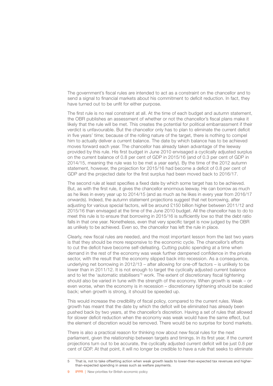The government's fiscal rules are intended to act as a constraint on the chancellor and to send a signal to financial markets about his commitment to deficit reduction. In fact, they have turned out to be unfit for either purpose.

The first rule is no real constraint at all. At the time of each budget and autumn statement, the OBR publishes an assessment of whether or not the chancellor's fiscal plans make it likely that the rule will be met. This creates the potential for political embarrassment if their verdict is unfavourable. But the chancellor only has to plan to eliminate the current deficit in five years' time; because of the rolling nature of the target, there is nothing to compel him to actually deliver a current balance. The date by which balance has to be achieved moves forward each year. The chancellor has already taken advantage of the leeway provided by this rule. His first budget in June 2010 envisaged a cyclically adjusted surplus on the current balance of 0.8 per cent of GDP in 2015/16 (and of 0.3 per cent of GDP in 2014/15, meaning the rule was to be met a year early). By the time of the 2012 autumn statement, however, the projection for 2015/16 had become a deficit of 0.8 per cent of GDP and the projected date for the first surplus had been moved back to 2016/17.

The second rule at least specifies a fixed date by which some target has to be achieved. But, as with the first rule, it gives the chancellor enormous leeway. He can borrow as much as he likes in every year up to 2014/15 (and as much as he likes in every year from 2016/17 onwards). Indeed, the autumn statement projections suggest that net borrowing, after adjusting for various special factors, will be around £150 billion higher between 2011/12 and 2015/16 than envisaged at the time of the June 2010 budget. All the chancellor has to do to meet this rule is to ensure that borrowing in 2015/16 is sufficiently low so that the debt ratio falls in that one year. Nonetheless, even that very specific target is now judged by the OBR as unlikely to be achieved. Even so, the chancellor has left the rule in place.

Clearly, new fiscal rules are needed, and the most important lesson from the last two years is that they should be more responsive to the economic cycle. The chancellor's efforts to cut the deficit have become self-defeating. Cutting public spending at a time when demand in the rest of the economy was weak further dampened confidence in the private sector, with the result that the economy slipped back into recession. As a consequence, underlying net borrowing in 2012/13 – after allowing for one-off factors – is unlikely to be lower than in 2011/12. It is not enough to target the cyclically adjusted current balance and to let the 'automatic stabilisers'<sup>5</sup> work. The extent of discretionary fiscal tightening should also be varied in tune with the strength of the economy. When growth is weak – or even worse, when the economy is in recession – discretionary tightening should be scaled back; when growth is strong, it should be speeded up.

This would increase the credibility of fiscal policy, compared to the current rules. Weak growth has meant that the date by which the deficit will be eliminated has already been pushed back by two years, at the chancellor's discretion. Having a set of rules that allowed for slower deficit reduction when the economy was weak would have the same effect, but the element of discretion would be removed. There would be no surprise for bond markets.

There is also a practical reason for thinking now about new fiscal rules for the next parliament, given the relationship between targets and timings. In its first year, if the current projections turn out to be accurate, the cyclically adjusted current deficit will be just 0.8 per cent of GDP. At that point, it will no longer be credible to have a rule that seeks to eliminate

<sup>5</sup> That is, not to take offsetting action when weak growth leads to lower-than-expected tax revenues and higherthan-expected spending in areas such as welfare payments.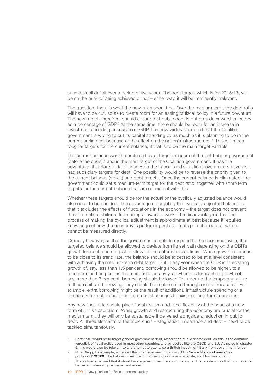such a small deficit over a period of five years. The debt target, which is for 2015/16, will be on the brink of being achieved or not – either way, it will be imminently irrelevant.

The question, then, is what the new rules should be. Over the medium term, the debt ratio will have to be cut, so as to create room for an easing of fiscal policy in a future downturn. The new target, therefore, should ensure that public debt is put on a downward trajectory as a percentage of GDP.<sup>6</sup> At the same time, there should be room for an increase in investment spending as a share of GDP. It is now widely accepted that the Coalition government is wrong to cut its capital spending by as much as it is planning to do in the current parliament because of the effect on the nation's infrastructure. 7 This will mean tougher targets for the current balance, if that is to be the main target variable.

The current balance was the preferred fiscal target measure of the last Labour government (before the crisis), $8$  and is the main target of the Coalition government. It has the advantage, therefore, of familiarity. Both the Labour and Coalition governments have also had subsidiary targets for debt. One possibility would be to reverse the priority given to the current balance (deficit) and debt targets. Once the current balance is eliminated, the government could set a medium-term target for the debt ratio, together with short-term targets for the current balance that are consistent with this.

Whether these targets should be for the actual or the cyclically adjusted balance would also need to be decided. The advantage of targeting the cyclically adjusted balance is that it excludes the effects of fluctuations in the economy – the target does not prevent the automatic stabilisers from being allowed to work. The disadvantage is that the process of making the cyclical adjustment is approximate at best because it requires knowledge of how the economy is performing relative to its potential output, which cannot be measured directly.

Crucially however, so that the government is able to respond to the economic cycle, the targeted balance should be allowed to deviate from its set path depending on the OBR's growth forecast, and not just to allow for the automatic stabilisers. When growth is forecast to be close to its trend rate, the balance should be expected to be at a level consistent with achieving the medium-term debt target. But in any year when the OBR is forecasting growth of, say, less than 1.5 per cent, borrowing should be allowed to be higher, to a predetermined degree; on the other hand, in any year when it is forecasting growth of, say, more than 3 per cent, borrowing should be lower. To underline the temporary nature of these shifts in borrowing, they should be implemented through one-off measures. For example, extra borrowing might be the result of additional infrastructure spending or a temporary tax cut, rather than incremental changes to existing, long-term measures.

Any new fiscal rule should place fiscal realism and fiscal flexibility at the heart of a new form of British capitalism. While growth and restructuring the economy are crucial for the medium term, they will only be sustainable if delivered alongside a reduction in public debt. All three elements of the triple crisis – stagnation, imbalance and debt – need to be tackled simultaneously.

<sup>6</sup> Better still would be to target general government debt, rather than public sector debt, as this is the common yardstick of fiscal policy used in most other countries and by bodies like the OECD and EU. As noted in chapter 5, this would also be relevant to any attempt to capitalise a British Investment Bank from government funds.

<sup>7</sup> Nick Clegg, for example, accepted this in an interview in January: [http://www.bbc.co.uk/news/uk](http://www.bbc.co.uk/news/uk-politics-21190108)[politics-21190108](http://www.bbc.co.uk/news/uk-politics-21190108). The Labour government planned cuts on a similar scale, so it too was at fault.

<sup>8</sup> The 'golden rule' said that it should average zero over the economic cycle. The problem was that no one could be certain when a cycle began and ended.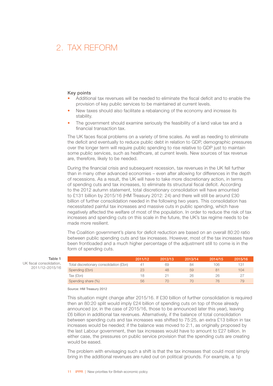### <span id="page-12-0"></span>2 TAX REFORM

#### Key points

- Additional tax revenues will be needed to eliminate the fiscal deficit and to enable the provision of key public services to be maintained at current levels.
- New taxes should also facilitate a rebalancing of the economy and increase its stability.
- The government should examine seriously the feasibility of a land value tax and a financial transaction tax.

The UK faces fiscal problems on a variety of time scales. As well as needing to eliminate the deficit and eventually to reduce public debt in relation to GDP, demographic pressures over the longer term will require public spending to rise relative to GDP just to maintain some public services, such as healthcare, at current levels. New sources of tax revenue are, therefore, likely to be needed.

During the financial crisis and subsequent recession, tax revenues in the UK fell further than in many other advanced economies – even after allowing for differences in the depth of recessions. As a result, the UK will have to take more discretionary action, in terms of spending cuts and tax increases, to eliminate its structural fiscal deficit. According to the 2012 autumn statement, total discretionary consolidation will have amounted to £131 billion by 2015/16 (HM Treasury 2012: 24) and there will still be around £30 billion of further consolidation needed in the following two years. This consolidation has necessitated painful tax increases and massive cuts in public spending, which have negatively affected the welfare of most of the population. In order to reduce the risk of tax increases and spending cuts on this scale in the future, the UK's tax regime needs to be made more resilient.

The Coalition government's plans for deficit reduction are based on an overall 80:20 ratio between public spending cuts and tax increases. However, most of the tax increases have been frontloaded and a much higher percentage of the adjustment still to come is in the form of spending cuts.

|                                         | 2011/12 | 2012/13 | 2013/14 | 2014/15 | 2015/16 |
|-----------------------------------------|---------|---------|---------|---------|---------|
| Total discretionary consolidation (£bn) |         | 69      | 84      | 106     | 131     |
| Spending (£bn)                          | 23      | 48      | 59      |         | 104     |
| Tax (£bn)                               | 18      |         | 26      |         |         |
| Spending share (%)                      | 56      |         |         |         | 79      |

Table 1 UK fiscal consolidation, 2011/12–2015/16

Source: HM Treasury 2012

This situation might change after 2015/16. If £30 billion of further consolidation is required then an 80:20 split would imply £24 billion of spending cuts on top of those already announced (or, in the case of 2015/16, those to be announced later this year), leaving £6 billion in additional tax revenues. Alternatively, if the balance of total consolidation between spending cuts and tax increases was shifted to 75:25, an extra £13 billion in tax increases would be needed; if the balance was moved to 2:1, as originally proposed by the last Labour government, then tax increases would have to amount to £27 billion. In either case, the pressures on public service provision that the spending cuts are creating would be eased.

The problem with envisaging such a shift is that the tax increases that could most simply bring in the additional revenues are ruled out on political grounds. For example, a 1p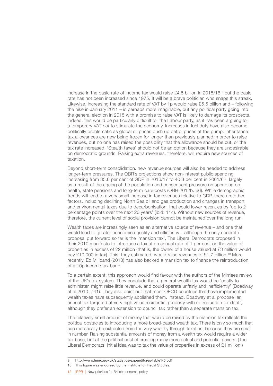increase in the basic rate of income tax would raise £4.5 billion in 2015/16, $^{\circ}$  but the basic rate has not been increased since 1975. It will be a brave politician who snaps this streak. Likewise, increasing the standard rate of VAT by 1p would raise £5.5 billion and – following the hike in January 2011 – is perhaps more imaginable, but any political party going into the general election in 2015 with a promise to raise VAT is likely to damage its prospects. Indeed, this would be particularly difficult for the Labour party, as it has been arguing for a temporary VAT *cut* to stimulate the economy. Increases in fuel duty have also become politically problematic as global oil prices push up petrol prices at the pump. Inheritance tax allowances are now being frozen for longer than previously planned in order to raise revenues, but no one has raised the possibility that the allowance should be cut, or the tax rate increased. 'Stealth taxes' should not be an option because they are undesirable on democratic grounds. Raising extra revenues, therefore, will require new sources of taxation.

Beyond short-term consolidation, new revenue sources will also be needed to address longer-term pressures. The OBR's projections show non-interest public spending increasing from 35.6 per cent of GDP in 2016/17 to 40.8 per cent in 2061/62, largely as a result of the ageing of the population and consequent pressure on spending on health, state pensions and long-term care costs (OBR 2012b: 66). While demographic trends will lead to a very small increase in tax revenues relative to GDP, there are other factors, including declining North Sea oil and gas production and changes in transport and environmental taxes due to decarbonisation, that could lower revenues by 'up to 2 percentage points over the next 20 years' (ibid: 114). Without new sources of revenue, therefore, the current level of social provision cannot be maintained over the long run.

Wealth taxes are increasingly seen as an alternative source of revenue – and one that would lead to greater economic equality and efficiency – although the only concrete proposal put forward so far is the 'mansion tax'. The Liberal Democrats proposed in their 2010 manifesto to introduce a tax at an annual rate of 1 per cent on the value of properties in excess of £2 million (that is, the owner of a house valued at £3 million would pay £10,000 in tax). This, they estimated, would raise revenues of £1.7 billion.<sup>10</sup> More recently, Ed Miliband (2013) has also backed a mansion tax to finance the reintroduction of a 10p income tax band.

To a certain extent, this approach would find favour with the authors of the Mirrlees review of the UK's tax system. They conclude that a general wealth tax would be 'costly to administer, might raise little revenue, and could operate unfairly and inefficiently' (Boadway et al 2010: 741). They also point out that most OECD countries that have implemented wealth taxes have subsequently abolished them. Instead, Boadway et al propose 'an annual tax targeted at very high value residential property with no reduction for debt', although they prefer an extension to council tax rather than a separate mansion tax.

The relatively small amount of money that would be raised by the mansion tax reflects the political obstacles to introducing a more broad-based wealth tax. There is only so much that can realistically be extracted from the very wealthy through taxation, because they are small in number. Raising substantial amounts of money from a wealth tax would require a wider tax base, but at the political cost of creating many more actual and potential payers. (The Liberal Democrats' initial idea was to tax the value of properties in excess of £1 million.)

<sup>9</sup> <http://www.hmrc.gov.uk/statistics/expenditures/table1-6.pdf>

<sup>10</sup> This figure was endorsed by the Institute for Fiscal Studies.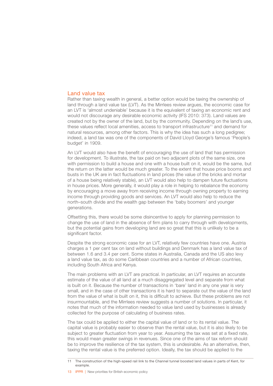#### <span id="page-14-0"></span>Land value tax

Rather than taxing wealth in general, a better option would be taxing the ownership of land through a land value tax (LVT). As the Mirrlees review argues, the economic case for an LVT is 'almost undeniable' because it is the equivalent of taxing an economic rent and would not discourage any desirable economic activity (IFS 2010: 373). Land values are created not by the owner of the land, but by the community. Depending on the land's use, these values reflect local amenities, access to transport infrastructure<sup>11</sup> and demand for natural resources, among other factors. This is why the idea has such a long pedigree; indeed, a land tax was one of the components of David Lloyd George's famous 'People's budget' in 1909.

An LVT would also have the benefit of encouraging the use of land that has permission for development. To illustrate, the tax paid on two adjacent plots of the same size, one with permission to build a house and one with a house built on it, would be the same, but the return on the latter would be much greater. To the extent that house price booms and busts in the UK are in fact fluctuations in land prices (the value of the bricks and mortar of a house being relatively stable), an LVT would also help to dampen future fluctuations in house prices. More generally, it would play a role in helping to rebalance the economy by encouraging a move away from receiving income through owning property to earning income through providing goods and services. An LVT would also help to reduce the north–south divide and the wealth gap between the 'baby boomers' and younger generations.

Offsetting this, there would be some disincentive to apply for planning permission to change the use of land in the absence of firm plans to carry through with developments, but the potential gains from developing land are so great that this is unlikely to be a significant factor.

Despite the strong economic case for an LVT, relatively few countries have one. Austria charges a 1 per cent tax on land without buildings and Denmark has a land value tax of between 1.6 and 3.4 per cent. Some states in Australia, Canada and the US also levy a land value tax, as do some Caribbean countries and a number of African countries, including South Africa and Kenya.

The main problems with an LVT are practical. In particular, an LVT requires an accurate estimate of the value of all land at a much disaggregated level and separate from what is built on it. Because the number of transactions in 'bare' land in any one year is very small, and in the case of other transactions it is hard to separate out the value of the land from the value of what is built on it, this is difficult to achieve. But these problems are not insurmountable, and the Mirrlees review suggests a number of solutions. In particular, it notes that much of the information needed to value land used by businesses is already collected for the purpose of calculating of business rates.

The tax could be applied to either the capital value of land or to its rental value. The capital value is probably easier to observe than the rental value, but it is also likely to be subject to greater fluctuation from year to year. Assuming the tax was set at a fixed rate, this would mean greater swings in revenues. Since one of the aims of tax reform should be to improve the resilience of the tax system, this is undesirable. As an alternative, then, taxing the rental value is the preferred option. Ideally, the tax should be applied to the

<sup>11</sup> The construction of the high-speed rail link to the Channel tunnel boosted land values in parts of Kent, for example

<sup>13</sup> **IPPR | New priorities for British economic policy**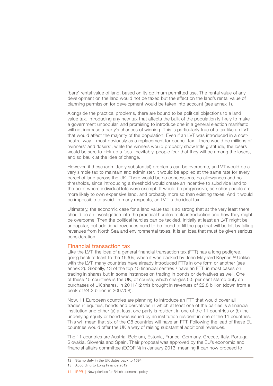<span id="page-15-0"></span>'bare' rental value of land, based on its optimum permitted use. The rental value of any development on the land would not be taxed but the effect on the land's rental value of planning permission for development would be taken into account (see annex 1).

Alongside the practical problems, there are bound to be political objections to a land value tax. Introducing any new tax that affects the bulk of the population is likely to make a government unpopular, and promising to introduce one in a general election manifesto will not increase a party's chances of winning. This is particularly true of a tax like an LVT that would affect the majority of the population. Even if an LVT was introduced in a costneutral way – most obviously as a replacement for council tax – there would be millions of 'winners' and 'losers'; while the winners would probably show little gratitude, the losers would be sure to kick up a fuss. Inevitably, people fear that they will be among the losers, and so baulk at the idea of change.

However, if these (admittedly substantial) problems can be overcome, an LVT would be a very simple tax to maintain and administer. It would be applied at the same rate for every parcel of land across the UK. There would be no concessions, no allowances and no thresholds, since introducing a threshold would create an incentive to subdivide land to the point where individual lots were exempt. It would be progressive, as richer people are more likely to own expensive land, and probably more so than existing taxes. And it would be impossible to avoid. In many respects, an LVT is the ideal tax.

Ultimately, the economic case for a land value tax is so strong that at the very least there should be an investigation into the practical hurdles to its introduction and how they might be overcome. Then the political hurdles can be tackled. Initially at least an LVT might be unpopular, but additional revenues need to be found to fill the gap that will be left by falling revenues from North Sea and environmental taxes. It is an idea that must be given serious consideration.

#### Financial transaction tax

Like the LVT, the idea of a general financial transaction tax (FTT) has a long pedigree, going back at least to the 1930s, when it was backed by John Maynard Keynes.12 Unlike with the LVT, many countries have already introduced FTTs in one form or another (see annex 2). Globally, 13 of the top 15 financial centres<sup>13</sup> have an FTT, in most cases on trading in shares but in some instances on trading in bonds or derivatives as well. One of these 15 countries is the UK, of course, which charges 0.5 per cent stamp duty on purchases of UK shares. In 2011/12 this brought in revenues of £2.8 billion (down from a peak of £4.2 billion in 2007/08).

Now, 11 European countries are planning to introduce an FTT that would cover all trades in equities, bonds and derivatives in which at least one of the parties is a financial institution and either (a) at least one party is resident in one of the 11 countries or (b) the underlying equity or bond was issued by an institution resident in one of the 11 countries. This will mean that six of the G8 countries will have an FTT. Following the lead of these EU countries would offer the UK a way of raising substantial additional revenues.

The 11 countries are Austria, Belgium, Estonia, France, Germany, Greece, Italy, Portugal, Slovakia, Slovenia and Spain. Their proposal was approved by the EU's economic and financial affairs committee (ECOFIN) in January 2013, meaning it can now proceed to

<sup>12</sup> Stamp duty in the UK dates back to 1694.

<sup>13</sup> According to Long Finance 2012

<sup>14</sup> **IPPR | New priorities for British economic policy**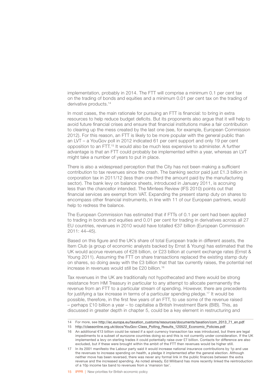implementation, probably in 2014. The FTT will comprise a minimum 0.1 per cent tax on the trading of bonds and equities and a minimum 0.01 per cent tax on the trading of derivative products.14

In most cases, the main rationale for pursuing an FTT is financial: to bring in extra resources to help reduce budget deficits. But its proponents also argue that it will help to avoid future financial crises and ensure that financial institutions make a fair contribution to clearing up the mess created by the last one (see, for example, European Commission 2012). For this reason, an FTT is likely to be more popular with the general public than an LVT – a YouGov poll in 2012 indicated 61 per cent support and only 19 per cent opposition to an FTT.15 It would also be much less expensive to administer. A further advantage is that an FTT could probably be implemented within a year, whereas an LVT might take a number of years to put in place.

There is also a widespread perception that the City has not been making a sufficient contribution to tax revenues since the crash. The banking sector paid just £1.3 billion in corporation tax in 2011/12 (less than one-third the amount paid by the manufacturing sector). The bank levy on balance sheets, introduced in January 2011, is accruing less than the chancellor intended. The Mirrlees Review (IFS 2010) points out that financial services are exempt from VAT. Expanding the present stamp duty on shares to encompass other financial instruments, in line with 11 of our European partners, would help to redress the balance.

The European Commission has estimated that if FTTs of 0.1 per cent had been applied to trading in bonds and equities and 0.01 per cent for trading in derivatives across all 27 EU countries, revenues in 2010 would have totalled €37 billion (European Commission 2011: 44–45).

Based on this figure and the UK's share of total European trade in different assets, the Item Club (a group of economic analysts backed by Ernst & Young) has estimated that the UK would accrue revenues of €28 billion, or £23 billion at current exchange rates (Ernst & Young 2011). Assuming the FTT on share transactions replaced the existing stamp duty on shares, so doing away with the £3 billion that that tax currently raises, the potential net increase in revenues would still be £20 billion.16

Tax revenues in the UK are traditionally not hypothecated and there would be strong resistance from HM Treasury in particular to any attempt to allocate permanently the revenue from an FTT to a particular stream of spending. However, there are precedents for justifying a tax increase in terms of a particular spending pledge.17 It would be possible, therefore, in the first few years of an FTT, to use some of the revenue raised – perhaps £10 billion a year – to capitalise a British Investment Bank (BIB). This, as discussed in greater depth in chapter 5, could be a key element in restructuring and

<sup>14</sup> For more, see [http://ec.europa.eu/taxation\\_customs/resources/documents/taxation/com\\_2013\\_71\\_en.pdf](http://ec.europa.eu/taxation_customs/resources/documents/taxation/com_2013_71_en.pdf)

<sup>15</sup> [http://classonline.org.uk/docs/YouGov-Class\\_Polling\\_Results\\_120522\\_Economic\\_Policies.pdf](http://classonline.org.uk/docs/YouGov-Class_Polling_Results_120522_Economic_Policies.pdf)

<sup>16</sup> An additional €13 billion could be raised if a spot currency transaction tax was introduced, but there are legal impediments to a subset of eurozone countries doing so and this is not currently under consideration. If the UK implemented a levy on sterling trades it could potentially raise over £7 billion. Contacts for difference are also excluded, but if these were brought within the ambit of the FTT then revenues would be higher still.

<sup>17</sup> In its 2001 manifesto the Labour party said it would increase national insurance contributions by 1p and use the revenues to increase spending on health, a pledge it implemented after the general election. Although neither move has been reversed, there was never any formal link in the public finances between the extra revenue and the increased spending. As noted already, Ed Miliband has more recently linked the reintroduction of a 10p income tax band to revenues from a 'mansion tax'.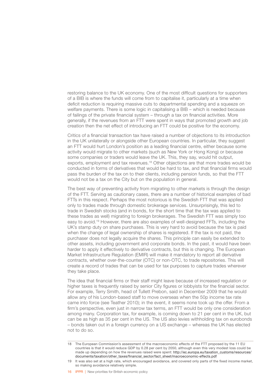restoring balance to the UK economy. One of the most difficult questions for supporters of a BIB is where the funds will come from to capitalise it, particularly at a time when deficit reduction is requiring massive cuts to departmental spending and a squeeze on welfare payments. There is some logic in capitalising a BIB – which is needed because of failings of the private financial system – through a tax on financial activities. More generally, if the revenues from an FTT were spent in ways that promoted growth and job creation then the net effect of introducing an FTT could be positive for the economy.

Critics of a financial transaction tax have raised a number of objections to its introduction in the UK unilaterally or alongside other European countries. In particular, they suggest an FTT would hurt London's position as a leading financial centre, either because some activity would migrate to other markets (such as New York or Hong Kong) or because some companies or traders would leave the UK. This, they say, would hit output, exports, employment and tax revenues.<sup>18</sup> Other objections are that more trades would be conducted in forms of derivatives that would be hard to tax, and that financial firms would pass the burden of the tax on to their clients, including pension funds, so that the FTT would not be a tax on the City but on the population in general.

The best way of preventing activity from migrating to other markets is through the design of the FTT. Serving as cautionary cases, there are a number of historical examples of bad FTTs in this respect. Perhaps the most notorious is the Swedish FTT that was applied only to trades made through domestic brokerage services. Unsurprisingly, this led to trade in Swedish stocks (and in bonds, for the short time that the tax was applied to these trades as well) migrating to foreign brokerages. The Swedish FTT was simply too easy to avoid.19 However, there are also examples of well-designed FFTs, including the UK's stamp duty on share purchases. This is very hard to avoid because the tax is paid when the change of legal ownership of shares is registered. If the tax is not paid, the purchaser does not legally acquire the shares. This principle can easily be extended to other assets, including government and corporate bonds. In the past, it would have been harder to apply it effectively to derivative contracts, but this is changing. The European Market Infrastructure Regulation (EMIR) will make it mandatory to report all derivative contracts, whether over-the-counter (OTC) or non-OTC, to trade repositories. This will create a record of trades that can be used for tax purposes to capture trades wherever they take place.

The idea that financial firms or their staff might leave because of increased regulation or higher taxes is frequently raised by senior City figures or lobbyists for the financial sector. For example, Terry Smith, head of Tullett Prebon, said in December 2009 that he would allow any of his London-based staff to move overseas when the 50p income tax rate came into force (see Teather 2010); in the event, it seems none took up the offer. From a firm's perspective, even just in narrow tax terms, an FTT would be only one consideration among many. Corporation tax, for example, is coming down to 21 per cent in the UK, but can be as high as 35 per cent in the US. The US also levies withholding tax on eurobonds – bonds taken out in a foreign currency on a US exchange – whereas the UK has elected not to do so.

<sup>18</sup> The European Commission's assessment of the macroeconomic effects of the FTT proposed by the 11 EU countries is that it would reduce GDP by 0.28 per cent by 2050, although even this very modest loss could be made up depending on how the revenues raised were spent: [http://ec.europa.eu/taxation\\_customs/resources/](http://ec.europa.eu/taxation_customs/resources/documents/taxation/other_taxes/financial_sector/fact_sheet/macroeconomic-effects.pdf) [documents/taxation/other\\_taxes/financial\\_sector/fact\\_sheet/macroeconomic-effects.pdf](http://ec.europa.eu/taxation_customs/resources/documents/taxation/other_taxes/financial_sector/fact_sheet/macroeconomic-effects.pdf)

<sup>19</sup> It was also set at a high rate, which encouraged avoidance, and covered only parts of the fixed income market, so making avoidance relatively simple.

<sup>16</sup> **IPPR** | New priorities for British economic policy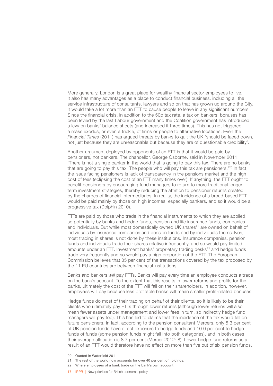More generally, London is a great place for wealthy financial sector employees to live. It also has many advantages as a place to conduct financial business, including all the service infrastructure of consultants, lawyers and so on that has grown up around the City. It would take a lot more than an FTT to cause people to leave in any significant numbers. Since the financial crisis, in addition to the 50p tax rate, a tax on bankers' bonuses has been levied by the last Labour government and the Coalition government has introduced a levy on banks' balance sheets (and increased it three times). This has not triggered a mass exodus, or even a trickle, of firms or people to alternative locations. Even the *Financial Times* (2011) has argued threats by banks to quit the UK 'should be faced down, not just because they are unreasonable but because they are of questionable credibility'.

Another argument deployed by opponents of an FTT is that it would be paid by pensioners, not bankers. The chancellor, George Osborne, said in November 2011: 'There is not a single banker in the world that is going to pay this tax. There are no banks that are going to pay this tax. The people who will pay this tax are pensioners.<sup>'20</sup> In fact, the issue facing pensioners is lack of transparency in the pensions market and the high cost of fees (eclipsing the cost of an FTT many times over). If anything, the FTT ought to benefit pensioners by encouraging fund managers to return to more traditional longerterm investment strategies, thereby reducing the attrition to pensioner returns created by the charges of financial intermediaries. In reality, the incidence of a broad-based FTT would be paid mainly by those on high incomes, especially bankers, and so it would be a progressive tax (Dolphin 2010).

FTTs are paid by those who trade in the financial instruments to which they are applied, so potentially by banks and hedge funds, pension and life insurance funds, companies and individuals. But while most domestically owned UK shares<sup>21</sup> are owned on behalf of individuals by insurance companies and pension funds and by individuals themselves, most trading in shares is not done by these institutions. Insurance companies, pension funds and individuals trade their shares relative infrequently, and so would pay limited amounts under an FTT. Investment banks' proprietary trading desks<sup>22</sup> and hedge funds trade very frequently and so would pay a high proportion of the FTT. The European Commission believes that 85 per cent of the transactions covered by the tax proposed by the 11 EU countries are between financial institutions.

Banks and bankers *will* pay FTTs. Banks will pay every time an employee conducts a trade on the bank's account. To the extent that this results in lower returns and profits for the banks, ultimately the cost of the FTT will fall on their shareholders. In addition, however, employees will pay because less profitable banks will mean smaller profit-related bonuses.

Hedge funds do most of their trading on behalf of their clients, so it is likely to be their clients who ultimately pay FTTs through lower returns (although lower returns will also mean fewer assets under management and lower fees in turn, so indirectly hedge fund managers will pay too). This has led to claims that the incidence of the tax would fall on future pensioners. In fact, according to the pension consultant Mercers, only 5.3 per cent of UK pension funds have direct exposure to hedge funds and 10.0 per cent to hedge funds of funds (some pension funds might fall into both categories), and in both cases their average allocation is 8.7 per cent (Mercer 2012: 8). Lower hedge fund returns as a result of an FTT would therefore have no effect on more than five out of six pension funds.

- 22 Where employees of a bank trade on the bank's own account.
- 17 **IPPR | New priorities for British economic policy**

<sup>20</sup> Quoted in Waterfield 2011

<sup>21</sup> The rest of the world now accounts for over 40 per cent of holdings.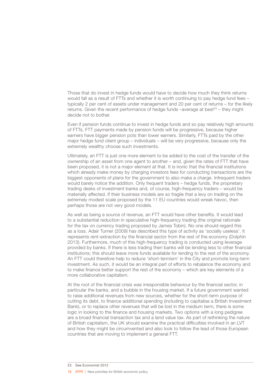Those that do invest in hedge funds would have to decide how much they think returns would fall as a result of FTTs and whether it is worth continuing to pay hedge fund fees – typically 2 per cent of assets under management and 20 per cent of returns – for the likely returns. Given the recent performance of hedge funds  $-$ average at best<sup>23</sup> – they might decide not to bother.

Even if pension funds continue to invest in hedge funds and so pay relatively high amounts of FTTs, FTT payments made by pension funds will be progressive, because higher earners have bigger pension pots than lower earners. Similarly, FTTs paid by the other major hedge fund client group – individuals – will be very progressive, because only the extremely wealthy choose such investments.

Ultimately, an FTT is just one more element to be added to the cost of the transfer of the ownership of an asset from one agent to another – and, given the rates of FTT that have been proposed, it is not a major element at that. It is ironic that the financial institutions which already make money by charging investors fees for conducting transactions are the biggest opponents of plans for the government to also make a charge. Infrequent traders would barely notice the addition. Only frequent traders – hedge funds, the proprietary trading desks of investment banks and, of course, high-frequency traders – would be materially affected. If their business models are so fragile that a levy on trading on the extremely modest scale proposed by the 11 EU countries would wreak havoc, then perhaps those are not very good models.

As well as being a source of revenue, an FTT would have other benefits. It would lead to a substantial reduction in speculative high-frequency trading (the original rationale for the tax on currency trading proposed by James Tobin). No one should regard this as a loss. Adair Turner (2009) has described this type of activity as 'socially useless'. It represents rent-extraction by the financial sector from the rest of the economy (Dolphin 2013). Furthermore, much of this high-frequency trading is conducted using leverage provided by banks. If there is less trading then banks will be lending less to other financial institutions; this should leave more funds available for lending to the rest of the economy. An FTT could therefore help to reduce 'short-termism' in the City and promote long-term investment. As such, it would be an integral part of efforts to rebalance the economy and to make finance better support the rest of the economy – which are key elements of a more collaborative capitalism.

At the root of the financial crisis was irresponsible behaviour by the financial sector, in particular the banks, and a bubble in the housing market. If a future government wanted to raise additional revenues from new sources, whether for the short-term purpose of cutting its debt, to finance additional spending (including to capitalise a British Investment Bank), or to replace other revenues that will be lost in the medium term, there is some logic in looking to the finance and housing markets. Two options with a long pedigree are a broad financial transaction tax and a land value tax. As part of rethinking the nature of British capitalism, the UK should examine the practical difficulties involved in an LVT and how they might be circumvented and also look to follow the lead of those European countries that are moving to implement a general FTT.

<sup>23</sup> See Economist 2012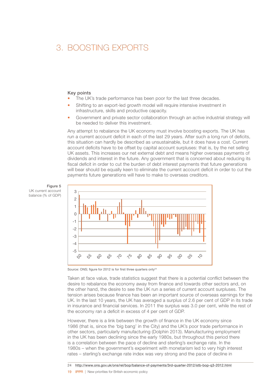### <span id="page-20-0"></span>3. BOOSTING EXPORTS

#### Key points

- The UK's trade performance has been poor for the last three decades.
- Shifting to an export-led growth model will require intensive investment in infrastructure, skills and productive capacity.
- Government and private sector collaboration through an active industrial strategy will be needed to deliver this investment.

Any attempt to rebalance the UK economy must involve boosting exports. The UK has run a current account deficit in each of the last 29 years. After such a long run of deficits, this situation can hardly be described as unsustainable, but it does have a cost. Current account deficits have to be offset by capital account surpluses: that is, by the net selling UK assets. This increases our net external debt and means higher overseas payments of dividends and interest in the future. Any government that is concerned about reducing its fiscal deficit in order to cut the burden of debt interest payments that future generations will bear should be equally keen to eliminate the current account deficit in order to cut the payments future generations will have to make to overseas creditors.



Figure 5 UK current account balance (% of GDP)

Source: ONS; figure for 2012 is for first three quarters only<sup>24</sup>

Taken at face value, trade statistics suggest that there is a potential conflict between the desire to rebalance the economy away from finance and towards other sectors and, on the other hand, the desire to see the UK run a series of current account surpluses. The tension arises because finance has been an important source of overseas earnings for the UK. In the last 10 years, the UK has averaged a surplus of 2.6 per cent of GDP in its trade in insurance and financial services. In 2011 the surplus was 3.0 per cent, while the rest of the economy ran a deficit in excess of 4 per cent of GDP.

However, there is a link between the growth of finance in the UK economy since 1986 (that is, since the 'big bang' in the City) and the UK's poor trade performance in other sectors, particularly manufacturing (Dolphin 2013). Manufacturing employment in the UK has been declining since the early 1980s, but throughout this period there is a correlation between the pace of decline and sterling's exchange rate. In the 1980s – when the government's experiment with monetarism led to very high interest rates – sterling's exchange rate index was very strong and the pace of decline in

19 **IPPR | New priorities for British economic policy** 

<sup>24</sup> <http://www.ons.gov.uk/ons/rel/bop/balance-of-payments/3rd-quarter-2012/stb-bop-q3-2012.html>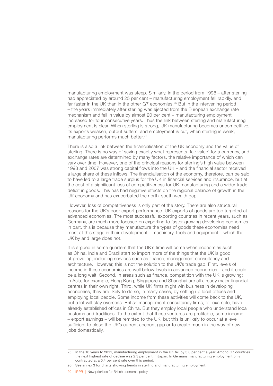manufacturing employment was steep. Similarly, in the period from 1998 – after sterling had appreciated by around 25 per cent – manufacturing employment fell rapidly, and far faster in the UK than in the other G7 economies.<sup>25</sup> But in the intervening period – the years immediately after sterling was ejected from the European exchange rate mechanism and fell in value by almost 20 per cent – manufacturing employment increased for four consecutive years. Thus the link between sterling and manufacturing employment is clear. When sterling is strong, UK manufacturing becomes uncompetitive, its exports weaken, output suffers, and employment is cut; when sterling is weak, manufacturing performs much better.26

There is also a link between the financialisation of the UK economy and the value of sterling. There is no way of saying exactly what represents 'fair value' for a currency, and exchange rates are determined by many factors, the relative importance of which can vary over time. However, one of the principal reasons for sterling's high value between 1998 and 2007 was strong capital flows into the UK – and the financial sector received a large share of these inflows. The financialisation of the economy, therefore, can be said to have led to a large trade surplus for the UK in financial services and insurance, but at the cost of a significant loss of competitiveness for UK manufacturing and a wider trade deficit in goods. This has had negative effects on the regional balance of growth in the UK economy and has exacerbated the north–south wealth gap.

However, loss of competitiveness is only part of the story. There are also structural reasons for the UK's poor export performance. UK exports of goods are too targeted at advanced economies. The most successful exporting countries in recent years, such as Germany, are much more focused on exporting to faster-growing developing economies. In part, this is because they manufacture the types of goods these economies need most at this stage in their development – machinery, tools and equipment – which the UK by and large does not.

It is argued in some quarters that the UK's time will come when economies such as China, India and Brazil start to import more of the things that the UK is good at providing, including services such as finance, management consultancy and architecture. However, this is not the solution to the UK's trade gap. First, levels of income in these economies are well below levels in advanced economies – and it could be a long wait. Second, in areas such as finance, competition with the UK is growing: in Asia, for example, Hong Kong, Singapore and Shanghai are all already major financial centres in their own right. Third, while UK firms might win business in developing economies, they are likely to do so, in many cases, by setting up local offices and employing local people. Some income from these activities will come back to the UK, but a lot will stay overseas. British management consultancy firms, for example, have already established offices in China. But they employ local people who understand local customs and traditions. To the extent that these ventures are profitable, some income – export earnings – will be remitted to the UK, but this is unlikely to occur at a level sufficient to close the UK's current account gap or to create much in the way of new jobs domestically.

<sup>25</sup> In the 10 years to 2011, manufacturing employment in the UK fell by 3.8 per cent a year. Among G7 countries the next highest rate of decline was 2.3 per cent in Japan. In Germany manufacturing employment only contracted at a 0.4 per cent rate over this period.

<sup>26</sup> See annex 3 for charts showing trends in sterling and manufacturing employment.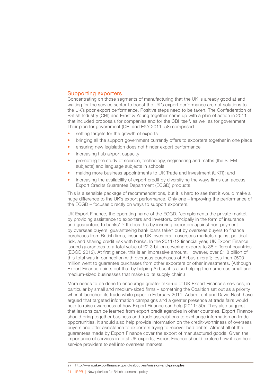#### <span id="page-22-0"></span>Supporting exporters

Concentrating on those segments of manufacturing that the UK is already good at and waiting for the service sector to boost the UK's export performance are not solutions to the UK's poor export performance. Positive steps need to be taken. The Confederation of British Industry (CBI) and Ernst & Young together came up with a plan of action in 2011 that included proposals for companies and for the CBI itself, as well as for government. Their plan for government (CBI and E&Y 2011: 58) comprised:

- setting targets for the growth of exports
- bringing all the support government currently offers to exporters together in one place
- ensuring new legislation does not hinder export performance
- increasing hub airport capacity
- promoting the study of science, technology, engineering and maths (the STEM subjects) and language subjects in schools
- making more business appointments to UK Trade and Investment (UKTI); and
- increasing the availability of export credit by diversifying the ways firms can access Export Credits Guarantee Department (ECGD) products.

This is a sensible package of recommendations, but it is hard to see that it would make a huge difference to the UK's export performance. Only one – improving the performance of the ECGD – focuses directly on ways to support exporters.

UK Export Finance, the operating name of the ECGD, 'complements the private market by providing assistance to exporters and investors, principally in the form of insurance and guarantees to banks'.27 It does this by insuring exporters against non-payment by overseas buyers, guaranteeing bank loans taken out by overseas buyers to finance purchases from British firms, insuring UK investors in overseas markets against political risk, and sharing credit risk with banks. In the 2011/12 financial year, UK Export Finance issued guarantees to a total value of £2.3 billion covering exports to 38 different countries (ECGD 2012). At first glance, this is an impressive amount. However, over £1.8 billion of this total was in connection with overseas purchases of Airbus aircraft; less than £500 million went to guarantee purchases from other exporters or other investments. (Although Export Finance points out that by helping Airbus it is also helping the numerous small and medium-sized businesses that make up its supply chain.)

More needs to be done to encourage greater take-up of UK Export Finance's services, in particular by small and medium-sized firms – something the Coalition set out as a priority when it launched its trade white paper in February 2011. Adam Lent and David Nash have argued that targeted information campaigns and a greater presence at trade fairs would help to raise awareness of how Export Finance can help (2011: 50). They also suggest that lessons can be learned from export credit agencies in other countries. Export Finance should bring together business and trade associations to exchange information on trade opportunities. It should also help provide information on the credit-worthiness of overseas buyers and offer assistance to exporters trying to recover bad debts. Almost all of the guarantees made by Export Finance cover the export of manufactured goods. Given the importance of services in total UK exports, Export Finance should explore how it can help service providers to sell into overseas markets.

27 <http://www.ukexportfinance.gov.uk/about-us/mission-and-principles>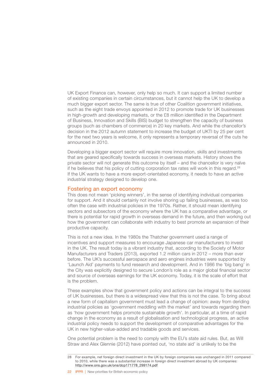<span id="page-23-0"></span>UK Export Finance can, however, only help so much. It can support a limited number of existing companies in certain circumstances, but it cannot help the UK to develop a much bigger export sector. The same is true of other Coalition government initiatives, such as the eight trade envoys appointed in 2012 to promote trade for UK businesses in high-growth and developing markets, or the £8 million identified in the Department of Business, Innovation and Skills (BIS) budget to strengthen the capacity of business groups (such as chambers of commerce) in 20 key markets. And while the chancellor's decision in the 2012 autumn statement to increase the budget of UKTI by 25 per cent for the next two years is welcome, it only represents a temporary reversal of the cuts he announced in 2010.

Developing a bigger export sector will require more innovation, skills and investments that are geared specifically towards success in overseas markets. History shows the private sector will not generate this outcome by itself – and the chancellor is very naïve if he believes that his policy of cutting corporation tax rates will work in this regard. $28$ If the UK wants to have a more export-orientated economy, it needs to have an active industrial strategy designed to develop one.

#### Fostering an export economy

This does not mean 'picking winners', in the sense of identifying individual companies for support. And it should certainly not involve shoring up failing businesses, as was too often the case with industrial policies in the 1970s. Rather, it should mean identifying sectors and subsectors of the economy where the UK has a comparative advantage, or there is potential for rapid growth in overseas demand in the future, and then working out how the government can collaborate with industry to best promote an expansion of their productive capacity.

This is not a new idea. In the 1980s the Thatcher government used a range of incentives and support measures to encourage Japanese car manufacturers to invest in the UK. The result today is a vibrant industry that, according to the Society of Motor Manufacturers and Traders (2013), exported 1.2 million cars in 2012 – more than ever before. The UK's successful aerospace and aero engines industries were supported by 'Launch Aid' payments to fund research and development. And in 1986 the 'big bang' in the City was explicitly designed to secure London's role as a major global financial sector and source of overseas earnings for the UK economy. Today, it is the scale of effort that is the problem.

These examples show that government policy and actions can be integral to the success of UK businesses, but there is a widespread view that this is not the case. To bring about a new form of capitalism government must lead a change of opinion: away from deriding industrial policies as 'government meddling with the market' and towards regarding them as 'how government helps promote sustainable growth'. In particular, at a time of rapid change in the economy as a result of globalisation and technological progress, an active industrial policy needs to support the development of comparative advantages for the UK in new higher-value-added and tradable goods and services.

One potential problem is the need to comply with the EU's state aid rules. But, as Will Straw and Alex Glennie (2012) have pointed out, 'no state aid' is unlikely to be the

22 **IPPR** | New priorities for British economic policy

<sup>28</sup> For example, net foreign direct investment in the UK by foreign companies was unchanged in 2011 compared to 2010, while there was a substantial increase in foreign direct investment abroad by UK companies: [http://www.ons.gov.uk/ons/dcp171778\\_299174.pdf](http://www.ons.gov.uk/ons/dcp171778_299174.pdf)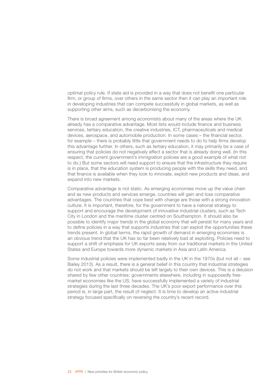optimal policy rule. If state aid is provided in a way that does not benefit one particular firm, or group of firms, over others in the same sector then it can play an important role in developing industries that can compete successfully in global markets, as well as supporting other aims, such as decarbonising the economy.

There is broad agreement among economists about many of the areas where the UK already has a comparative advantage. Most lists would include finance and business services, tertiary education, the creative industries, ICT, pharmaceuticals and medical devices, aerospace, and automobile production. In some cases – the financial sector, for example – there is probably little that government needs to do to help firms develop this advantage further. In others, such as tertiary education, it may primarily be a case of ensuring that policies do not negatively affect a sector that is already doing well. (In this respect, the current government's immigration policies are a good example of what not to do.) But some sectors will need support to ensure that the infrastructure they require is in place, that the education system is producing people with the skills they need, and that finance is available when they look to innovate, exploit new products and ideas, and expand into new markets.

Comparative advantage is not static. As emerging economies move up the value chain and as new products and services emerge, countries will gain and lose comparative advantages. The countries that cope best with change are those with a strong innovation culture. It is important, therefore, for the government to have a national strategy to support and encourage the development of innovative industrial clusters, such as Tech City in London and the maritime cluster centred on Southampton. It should also be possible to identify major trends in the global economy that will persist for many years and to define policies in a way that supports industries that can exploit the opportunities these trends present. In global terms, the rapid growth of demand in emerging economies is an obvious trend that the UK has so far been relatively bad at exploiting. Policies need to support a shift of emphasis for UK exports away from our traditional markets in the United States and Europe towards more dynamic markets in Asia and Latin America.

Some industrial policies were implemented badly in the UK in the 1970s (but not all – see Bailey 2013). As a result, there is a general belief in this country that industrial strategies do not work and that markets should be left largely to their own devices. This is a delusion shared by few other countries: governments elsewhere, including in supposedly freemarket economies like the US, have successfully implemented a variety of industrial strategies during the last three decades. The UK's poor export performance over this period is, in large part, the result of neglect. It is time to develop an active industrial strategy focused specifically on reversing the country's recent record.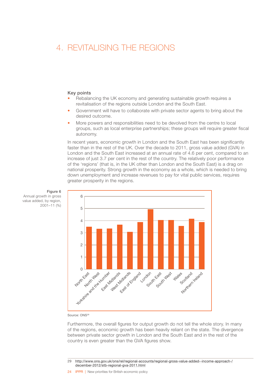### <span id="page-25-0"></span>4. REVITALISING THE REGIONS

#### Key points

- Rebalancing the UK economy and generating sustainable growth requires a revitalisation of the regions outside London and the South East.
- Government will have to collaborate with private sector agents to bring about the desired outcome.
- More powers and responsibilities need to be devolved from the centre to local groups, such as local enterprise partnerships; these groups will require greater fiscal autonomy.

In recent years, economic growth in London and the South East has been significantly faster than in the rest of the UK. Over the decade to 2011, gross value added (GVA) in London and the South East increased at an annual rate of 4.6 per cent, compared to an increase of just 3.7 per cent in the rest of the country. The relatively poor performance of the 'regions' (that is, in the UK other than London and the South East) is a drag on national prosperity. Strong growth in the economy as a whole, which is needed to bring down unemployment and increase revenues to pay for vital public services, requires greater prosperity in the regions.



Figure 6 Annual growth in gross

value added, by region, 2001–11 (%)

Source: ONS29

Furthermore, the overall figures for output growth do not tell the whole story. In many of the regions, economic growth has been heavily reliant on the state. The divergence between private sector growth in London and the South East and in the rest of the country is even greater than the GVA figures show.

<sup>29</sup> [http://www.ons.gov.uk/ons/rel/regional-accounts/regional-gross-value-added--income-approach-/](http://www.ons.gov.uk/ons/rel/regional-accounts/regional-gross-value-added--income-approach-/december-2012/stb-regional-gva-2011.html) [december-2012/stb-regional-gva-2011.html](http://www.ons.gov.uk/ons/rel/regional-accounts/regional-gross-value-added--income-approach-/december-2012/stb-regional-gva-2011.html)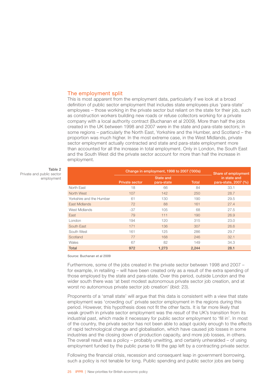#### <span id="page-26-0"></span>The employment split

This is most apparent from the employment data, particularly if we look at a broad definition of public sector employment that includes state employees plus 'para-state' employees – those working in the private sector but reliant on the state for their job, such as construction workers building new roads or refuse collectors working for a private company with a local authority contract (Buchanan et al 2009). More than half the jobs created in the UK between 1998 and 2007 were in the state and para-state sectors; in some regions – particularly the North East, Yorkshire and the Humber, and Scotland – the proportion was much higher. In the most extreme case, in the West Midlands, private sector employment actually contracted and state and para-state employment more than accounted for all the increase in total employment. Only in London, the South East and the South West did the private sector account for more than half the increase in employment.

|                          | Change in employment, 1998 to 2007 ('000s) | Share of employment            |              |                                      |
|--------------------------|--------------------------------------------|--------------------------------|--------------|--------------------------------------|
|                          | <b>Private sector</b>                      | <b>State and</b><br>para-state | <b>Total</b> | in state and<br>para-state, 2007 (%) |
| North East               | 18                                         | 66                             | 84           | 33.1                                 |
| North West               | 107                                        | 142                            | 250          | 28.7                                 |
| Yorkshire and the Humber | 61                                         | 130                            | 190          | 29.5                                 |
| East Midlands            | 72                                         | 88                             | 161          | 27.4                                 |
| West Midlands            | $-37$                                      | 105                            | 68           | 27.5                                 |
| East                     | 79                                         | 111                            | 190          | 26.9                                 |
| London                   | 194                                        | 120                            | 315          | 23.0                                 |
| South East               | 171                                        | 136                            | 307          | 26.6                                 |
| South West               | 161                                        | 125                            | 286          | 29.7                                 |
| Scotland                 | 77                                         | 168                            | 246          | 32.1                                 |
| Wales                    | 67                                         | 82                             | 149          | 34.3                                 |
| <b>Total</b>             | 972                                        | 1.273                          | 2.244        | 28.1                                 |

Source: Buchanan et al 2009

Furthermore, some of the jobs created in the private sector between 1998 and 2007 – for example, in retailing – will have been created only as a result of the extra spending of those employed by the state and para-state. Over this period, outside London and the wider south there was 'at best modest autonomous private sector job creation, and at worst no autonomous private sector job creation' (ibid: 23).

Proponents of a 'small state' will argue that this data is consistent with a view that state employment was 'crowding out' private sector employment in the regions during this period. However, this hypothesis does not fit the other facts. It is far more likely that weak growth in private sector employment was the *result* of the UK's transition from its industrial past, which made it necessary for public sector employment to 'fill in'. In most of the country, the private sector has not been able to adapt quickly enough to the effects of rapid technological change and globalisation, which have caused job losses in some industries and the closing down of production capacity, and more job losses, in others. The overall result was a policy – probably unwitting, and certainly unheralded – of using employment funded by the public purse to fill the gap left by a contracting private sector.

Following the financial crisis, recession and consequent leap in government borrowing, such a policy is not tenable for long. Public spending and public sector jobs are being

#### Table 2 Private and public sector employment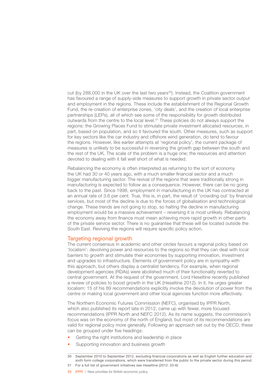<span id="page-27-0"></span>cut (by 288,000 in the UK over the last two years<sup>30</sup>). Instead, the Coalition government has favoured a range of supply-side measures to support growth in private sector output and employment in the regions. These include the establishment of the Regional Growth Fund, the re-creation of enterprise zones, 'city deals', and the creation of local enterprise partnerships (LEPs), all of which see some of the responsibility for growth distributed outwards from the centre to the local level.31 These policies do not always support the regions: the Growing Places Fund to stimulate private investment allocated resources, in part, based on population, and so it favoured the south. Other measures, such as support for key sectors like the car industry and offshore wind generation, do tend to favour the regions. However, like earlier attempts at 'regional policy', the current package of measures is unlikely to be successful in reversing the growth gap between the south and the rest of the UK. The scale of the problem is a huge one; the resources and attention devoted to dealing with it fall well short of what is needed.

Rebalancing the economy is often interpreted as returning to the sort of economy the UK had 30 or 40 years ago, with a much smaller financial sector and a much bigger manufacturing sector. The revival of the regions that were traditionally strong in manufacturing is expected to follow as a consequence. However, there can be no going back to the past. Since 1998, employment in manufacturing in the UK has contracted at an annual rate of 3.6 per cent. True, this is, in part, the result of 'crowding out' by financial services, but most of the decline is due to the forces of globalisation and technological change. These trends are not going to stop, so halting the decline in manufacturing employment would be a massive achievement – reversing it is most unlikely. Rebalancing the economy away from finance must mean achieving more rapid growth in other parts of the private service sector. There is no guarantee that these will be located outside the South East. Reviving the regions will require specific policy action.

#### Targeting regional growth

The current consensus in academic and other circles favours a regional policy based on 'localism': devolving power and resources to the regions so that they can deal with local barriers to growth and stimulate their economies by supporting innovation, investment and upgrades to infrastructure. Elements of government policy are in sympathy with this approach, but others display a centralist tendency. For example, when regional development agencies (RDAs) were abolished much of their functionality reverted to central government. At the request of the government, Lord Heseltine recently published a review of policies to boost growth in the UK (Heseltine 2012). In it, he urges greater localism: 15 of his 89 recommendations explicitly involve the devolution of power from the centre or making local government and other local agencies function more effectively.

The Northern Economic Futures Commission (NEFC), organised by IPPR North, which also published its report late in 2012, came up with fewer, more focused recommendations (IPPR North and NEFC 2012). As its name suggests, the commission's focus was on the economy of the north of England, but most of its recommendations are valid for regional policy more generally. Following an approach set out by the OECD, these can be grouped under five headings:

- Getting the right institutions and leadership in place
- Supporting innovation and business growth

<sup>30</sup> September 2010 to September 2012, excluding financial corporations as well as English further education and sixth form college corporations, which were transferred from the public to the private sector during this period. 31 For a full list of government initiatives see Heseltine (2012: 33-6)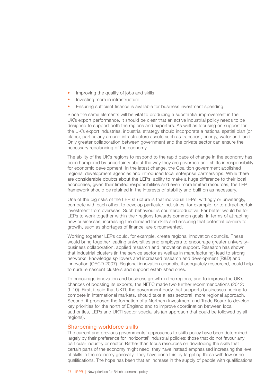- <span id="page-28-0"></span>Improving the quality of jobs and skills
- Investing more in infrastructure
- Ensuring sufficient finance is available for business investment spending.

Since the same elements will be vital to producing a substantial improvement in the UK's export performance, it should be clear that an active industrial policy needs to be designed to support both the regions and exporters. As well as focusing on support for the UK's export industries, industrial strategy should incorporate a national spatial plan (or plans), particularly around infrastructure assets such as transport, energy, water and land. Only greater collaboration between government and the private sector can ensure the necessary rebalancing of the economy.

The ability of the UK's regions to respond to the rapid pace of change in the economy has been hampered by uncertainty about the way they are governed and shifts in responsibility for economic development. In the latest change, the Coalition government abolished regional development agencies and introduced local enterprise partnerships. While there are considerable doubts about the LEPs' ability to make a huge difference to their local economies, given their limited responsibilities and even more limited resources, the LEP framework should be retained in the interests of stability and built on as necessary.

One of the big risks of the LEP structure is that individual LEPs, wittingly or unwittingly, compete with each other, to develop particular industries, for example, or to attract certain investment from overseas. Such behaviour is counterproductive. Far better would be for LEPs to work together within their regions towards common goals, in terms of attracting new businesses, increasing the demand for skills and ensuring that potential barriers to growth, such as shortages of finance, are circumvented.

Working together LEPs could, for example, create regional innovation councils. These would bring together leading universities and employers to encourage greater university– business collaboration, applied research and innovation support. Research has shown that industrial clusters (in the service sector as well as in manufacturing) lead to strong networks, knowledge spillovers and increased research and development (R&D) and innovation (OECD 2007). Regional innovation councils, if adequately resourced, could help to nurture nascent clusters and support established ones.

To encourage innovation and business growth in the regions, and to improve the UK's chances of boosting its exports, the NEFC made two further recommendations (2012: 9–10). First, it said that UKTI, the government body that supports businesses hoping to compete in international markets, should take a less sectoral, more regional approach. Second, it proposed the formation of a Northern Investment and Trade Board to develop key priorities for the north of England and to improve coordination between local authorities, LEPs and UKTI sector specialists (an approach that could be followed by all regions).

#### Sharpening workforce skills

The current and previous governments' approaches to skills policy have been determined largely by their preference for 'horizontal' industrial policies: those that do not favour any particular industry or sector. Rather than focus resources on developing the skills that certain parts of the economy might need, they have instead emphasised increasing the level of skills in the economy generally. They have done this by targeting those with few or no qualifications. The hope has been that an increase in the supply of people with qualifications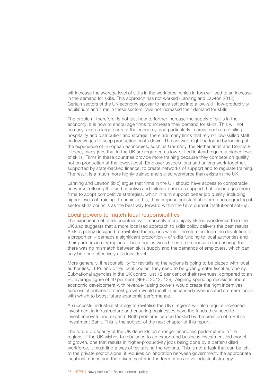<span id="page-29-0"></span>will increase the average level of skills in the workforce, which in turn will lead to an increase in the demand for skills. This approach has not worked (Lanning and Lawton 2012). Certain sectors of the UK economy appear to have settled into a low-skill, low-productivity equilibrium and firms in these sectors have not increased their demand for skills.

The problem, therefore, is not just how to further increase the supply of skills in the economy: it is how to encourage firms to increase their demand for skills. This will not be easy: across large parts of the economy, and particularly in areas such as retailing, hospitality and distribution and storage, there are many firms that rely on low-skilled staff on low wages to keep production costs down. The answer might be found by looking at the experience of European economies, such as Germany, the Netherlands and Denmark – there, many jobs that in the UK are regarded as low-skilled instead require a higher level of skills. Firms in these countries provide more training because they compete on quality, not on production at the lowest cost. Employer associations and unions work together, supported by state-backed finance, to create networks of support and to regulate training. The result is a much more highly trained and skilled workforce than exists in the UK.

Lanning and Lawton (ibid) argue that firms in the UK should have access to comparable networks, offering the kind of active and tailored business support that encourages more firms to adopt competitive strategies, which in turn support better job quality, including higher levels of training. To achieve this, they propose substantial reform and upgrading of sector skills councils as the best way forward within the UK's current institutional set-up.

#### Local powers to match local responsibilities

The experience of other countries with markedly more highly skilled workforces than the UK also suggests that a more localised approach to skills policy delivers the best results. A skills policy designed to revitalise the regions would, therefore, include the devolution of a proportion – perhaps a significant proportion – of skills funding to local authorities and their partners in city-regions. These bodies would then be responsible for ensuring that there was no mismatch between skills supply and the demands of employers, which can only be done effectively at a local level.

More generally, if responsibility for revitalising the regions is going to be placed with local authorities, LEPs and other local bodies, they need to be given greater fiscal autonomy. Subnational agencies in the UK control just 12 per cent of their revenues, compared to an EU average figure of 40 per cent (NEFC 2012: 139). Aligning spending decisions about economic development with revenue-raising powers would create the right incentives: successful policies to boost growth would result in enhanced revenues and so more funds with which to boost future economic performance.

A successful industrial strategy to revitalise the UK's regions will also require increased investment in infrastructure and ensuring businesses have the funds they need to invest, innovate and expand. Both problems can be tackled by the creation of a British Investment Bank. This is the subject of the next chapter of this report.

The future prosperity of the UK depends on stronger economic performance in the regions. If the UK wishes to rebalance to an export and business investment-led model of growth, one that results in higher-productivity jobs being done by a better-skilled workforce, it must find a way of revitalising the regions. This is not a task that can be left to the private sector alone: it requires collaboration between government, the appropriate local institutions and the private sector in the form of an active industrial strategy.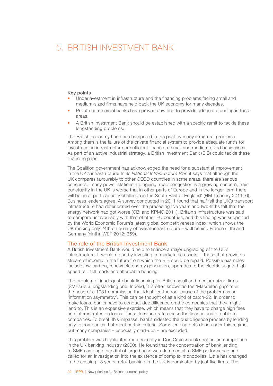### <span id="page-30-0"></span>5. BRITISH INVESTMENT BANK

#### Key points

- Underinvestment in infrastructure and the financing problems facing small and medium-sized firms have held back the UK economy for many decades.
- Private commercial banks have proved unwilling to provide adequate funding in these areas.
- A British Investment Bank should be established with a specific remit to tackle these longstanding problems.

The British economy has been hampered in the past by many structural problems. Among them is the failure of the private financial system to provide adequate funds for investment in infrastructure or sufficient finance to small and medium-sized businesses. As part of an active industrial strategy, a British Investment Bank (BIB) could tackle these financing gaps.

The Coalition government has acknowledged the need for a substantial improvement in the UK's infrastructure. In its *National Infrastructure Plan* it says that although the UK compares favourably to other OECD countries in some areas, there are serious concerns: 'many power stations are ageing, road congestion is a growing concern, train punctuality in the UK is worse that in other parts of Europe and in the longer term there will be an airport capacity challenge in the South East of England' (HM Treasury 2011: 6). Business leaders agree. A survey conducted in 2011 found that half felt the UK's transport infrastructure had deteriorated over the preceding five years and two-fifths felt that the energy network had got worse (CBI and KPMG 2011). Britain's infrastructure was said to compare unfavourably with that of other EU countries, and this finding was supported by the World Economic Forum's latest global competitiveness index, which shows the UK ranking only 24th on quality of overall infrastructure – well behind France (fifth) and Germany (ninth) (WEF 2012: 359).

#### The role of the British Investment Bank

A British Investment Bank would help to finance a major upgrading of the UK's infrastructure. It would do so by investing in 'marketable assets' – those that provide a stream of income in the future from which the BIB could be repaid. Possible examples include low-carbon, renewable energy generation, upgrades to the electricity grid, highspeed rail, toll roads and affordable housing.

The problem of inadequate bank financing for British small and medium-sized firms (SMEs) is a longstanding one. Indeed, it is often known as the 'Macmillan gap' after the head of a 1931 commission that identified the root cause of the problem as an 'information asymmetry'. This can be thought of as a kind of catch-22. In order to make loans, banks have to conduct due diligence on the companies that they might lend to. This is an expensive exercise, which means that they have to charge high fees and interest rates on loans. These fees and rates make the finance unaffordable to companies. To break this impasse, banks sidestep the due diligence process by lending only to companies that meet certain criteria. Some lending gets done under this regime, but many companies – especially start-ups – are excluded.

This problem was highlighted more recently in Don Cruickshank's report on competition in the UK banking industry (2000). He found that the concentration of bank lending to SMEs among a handful of large banks was detrimental to SME performance and called for an investigation into the existence of complex monopolies. Little has changed in the ensuing 13 years: retail banking in the UK is dominated by just five firms. The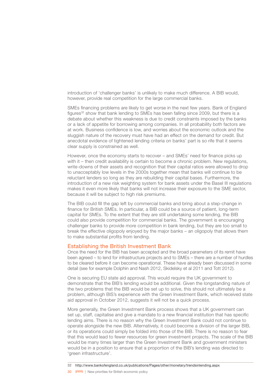<span id="page-31-0"></span>introduction of 'challenger banks' is unlikely to make much difference. A BIB would, however, provide real competition for the large commercial banks.

SMEs financing problems are likely to get worse in the next few years. Bank of England figures<sup>32</sup> show that bank lending to SMEs has been falling since 2009, but there is a debate about whether this weakness is due to credit constraints imposed by the banks or a lack of appetite for borrowing among companies. In all probability both factors are at work. Business confidence is low, and worries about the economic outlook and the sluggish nature of the recovery must have had an effect on the demand for credit. But anecdotal evidence of tightened lending criteria on banks' part is so rife that it seems clear supply is constrained as well.

However, once the economy starts to recover – and SMEs' need for finance picks up with it – then credit availability is certain to become a chronic problem. New regulations, write-downs of their assets and recognition that their capital ratios were allowed to drop to unacceptably low levels in the 2000s together mean that banks will continue to be reluctant lenders so long as they are rebuilding their capital bases. Furthermore, the introduction of a new risk weighting system for bank assets under the Basel III regulations makes it even more likely that banks will not increase their exposure to the SME sector, because it will be subject to high risk premiums.

The BIB could fill the gap left by commercial banks and bring about a step-change in finance for British SMEs. In particular, a BIB could be a source of patient, long-term capital for SMEs. To the extent that they are still undertaking some lending, the BIB could also provide competition for commercial banks. The government is encouraging challenger banks to provide more competition in bank lending, but they are too small to break the effective oligopoly enjoyed by the major banks – an oligopoly that allows them to make substantial profits from lending.

#### Establishing the British Investment Bank

Once the need for the BIB has been accepted and the broad parameters of its remit have been agreed – to lend for infrastructure projects and to SMEs – there are a number of hurdles to be cleared before it can become operational. These have already been discussed in some detail (see for example Dolphin and Nash 2012, Skidelsky et al 2011 and Tott 2012).

One is securing EU state aid approval. This would require the UK government to demonstrate that the BIB's lending would be additional. Given the longstanding nature of the two problems that the BIB would be set up to solve, this should not ultimately be a problem, although BIS's experience with the Green Investment Bank, which received state aid approval in October 2012, suggests it will not be a quick process.

More generally, the Green Investment Bank process shows that a UK government can set up, staff, capitalise and give a mandate to a new financial institution that has specific lending aims. There is no reason why the Green Investment Bank could not continue to operate alongside the new BIB. Alternatively, it could become a division of the larger BIB, or its operations could simply be folded into those of the BIB. There is no reason to fear that this would lead to fewer resources for green investment projects. The scale of the BIB would be many times larger than the Green Investment Bank and government ministers would be in a position to ensure that a proportion of the BIB's lending was directed to 'green infrastructure'.

32 <http://www.bankofengland.co.uk/publications/Pages/other/monetary/trendsinlending.aspx>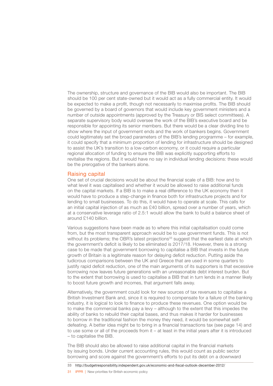<span id="page-32-0"></span>The ownership, structure and governance of the BIB would also be important. The BIB should be 100 per cent state-owned but it would act as a fully commercial entity. It would be expected to make a profit, though not necessarily to maximise profits. The BIB should be governed by a board of governors that would include key government ministers and a number of outside appointments (approved by the Treasury or BIS select committees). A separate supervisory body would oversee the work of the BIB's executive board and be responsible for appointing its senior members. But there would be a clear dividing line to show where the input of government ends and the work of bankers begins. Government could legitimately set the broad parameters of the BIB's lending programme – for example, it could specify that a minimum proportion of lending for infrastructure should be designed to assist the UK's transition to a low-carbon economy, or it could require a particular regional allocation of funding to ensure the BIB was explicitly supporting efforts to revitalise the regions. But it would have no say in individual lending decisions: these would be the prerogative of the bankers alone.

#### Raising capital

One set of crucial decisions would be about the financial scale of a BIB: how and to what level it was capitalised and whether it would be allowed to raise additional funds on the capital markets. If a BIB is to make a real difference to the UK economy then it would have to produce a step-change in finance both for infrastructure projects and for lending to small businesses. To do this, it would have to operate at scale. This calls for an initial capital injection of as much as £40 billion, spread over a number of years, which at a conservative leverage ratio of 2.5:1 would allow the bank to build a balance sheet of around £140 billion.

Various suggestions have been made as to where this initial capitalisation could come from, but the most transparent approach would be to use government funds. This is not without its problems; the OBR's latest projections<sup>33</sup> suggest that the earliest date at which the government's deficit is likely to be eliminated is 2017/18. However, there is a strong case to be made that government borrowing to capitalise a BIB that invests in the future growth of Britain is a legitimate reason for delaying deficit reduction. Putting aside the ludicrous comparisons between the UK and Greece that are used in some quarters to justify rapid deficit reduction, one of the main arguments of its supporters is that excessive borrowing now leaves future generations with an unreasonable debt interest burden. But to the extent that borrowing is used to capitalise a BIB that in turn lends in a manner likely to boost future growth and incomes, that argument falls away.

Alternatively, the government could look for new sources of tax revenues to capitalise a British Investment Bank and, since it is required to compensate for a failure of the banking industry, it is logical to look to finance to produce these revenues. One option would be to make the commercial banks pay a levy – although to the extent that this impedes the ability of banks to rebuild their capital bases, and thus makes it harder for businesses to borrow in the traditional fashion the money they need, it would be somewhat selfdefeating. A better idea might be to bring in a financial transactions tax (see page 14) and to use some or all of the proceeds from it – at least in the initial years after it is introduced – to capitalise the BIB.

The BIB should also be allowed to raise additional capital in the financial markets by issuing bonds. Under current accounting rules, this would count as public sector borrowing and score against the government's efforts to put its debt on a downward

33 <http://budgetresponsibility.independent.gov.uk/economic-and-fiscal-outlook-december-2012/>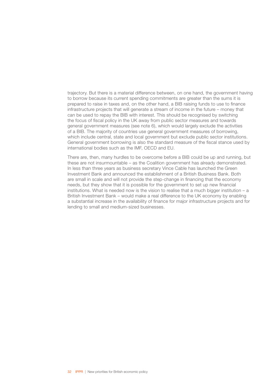trajectory. But there is a material difference between, on one hand, the government having to borrow because its current spending commitments are greater than the sums it is prepared to raise in taxes and, on the other hand, a BIB raising funds to use to finance infrastructure projects that will generate a stream of income in the future – money that can be used to repay the BIB with interest. This should be recognised by switching the focus of fiscal policy in the UK away from public sector measures and towards general government measures (see note 6), which would largely exclude the activities of a BIB. The majority of countries use general government measures of borrowing, which include central, state and local government but exclude public sector institutions. General government borrowing is also the standard measure of the fiscal stance used by international bodies such as the IMF, OECD and EU.

There are, then, many hurdles to be overcome before a BIB could be up and running, but these are not insurmountable – as the Coalition government has already demonstrated. In less than three years as business secretary Vince Cable has launched the Green Investment Bank and announced the establishment of a British Business Bank. Both are small in scale and will not provide the step-change in financing that the economy needs, but they show that it is possible for the government to set up new financial institutions. What is needed now is the vision to realise that a much bigger institution  $- a$ British Investment Bank – would make a real difference to the UK economy by enabling a substantial increase in the availability of finance for major infrastructure projects and for lending to small and medium-sized businesses.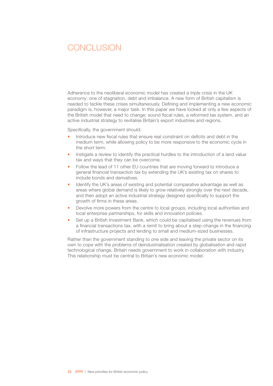### <span id="page-34-0"></span>CONCLUSION

Adherence to the neoliberal economic model has created a triple crisis in the UK economy: one of stagnation, debt and imbalance. A new form of British capitalism is needed to tackle these crises simultaneously. Defining and implementing a new economic paradigm is, however, a major task. In this paper we have looked at only a few aspects of the British model that need to change: sound fiscal rules, a reformed tax system, and an active industrial strategy to revitalise Britain's export industries and regions.

Specifically, the government should:

- Introduce new fiscal rules that ensure real constraint on deficits and debt in the medium term, while allowing policy to be more responsive to the economic cycle in the short term.
- Instigate a review to identify the practical hurdles to the introduction of a land value tax and ways that they can be overcome.
- Follow the lead of 11 other EU countries that are moving forward to introduce a general financial transaction tax by extending the UK's existing tax on shares to include bonds and derivatives.
- Identify the UK's areas of existing and potential comparative advantage as well as areas where global demand is likely to grow relatively strongly over the next decade, and then adopt an active industrial strategy designed specifically to support the growth of firms in these areas.
- Devolve more powers from the centre to local groups, including local authorities and local enterprise partnerships, for skills and innovation policies.
- Set up a British Investment Bank, which could be capitalised using the revenues from a financial transactions tax, with a remit to bring about a step-change in the financing of infrastructure projects and lending to small and medium-sized businesses.

Rather than the government standing to one side and leaving the private sector on its own to cope with the problems of deindustrialisation created by globalisation and rapid technological change, Britain needs government to work in collaboration with industry. This relationship must be central to Britain's new economic model.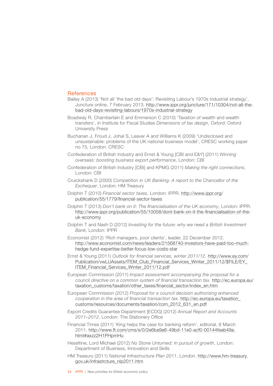#### <span id="page-35-0"></span>References

- Bailey A (2013) 'Not all 'the bad old days': Revisiting Labour's 1970s industrial strategy', Juncture online, 7 February 2013*.* [http://www.ippr.org/juncture/171/10304/not-all-the](http://www.ippr.org/juncture/171/10304/not-all-the-bad-old-days-revisiting-labours-1970s-industrial-strategy)[bad-old-days-revisiting-labours/1970s-industrial-strategy](http://www.ippr.org/juncture/171/10304/not-all-the-bad-old-days-revisiting-labours-1970s-industrial-strategy)
- Boadway R, Chamberlain E and Emmerson C (2010) 'Taxation of wealth and wealth transfers', in Institute for Fiscal Studies *Dimensions of tax design*, Oxford: Oxford University Press
- Buchanan J, Froud J, Johal S, Leaver A and Williams K (2009) 'Undisclosed and unsustainable: problems of the UK national business model', CRESC working paper no 75*,* London: CRESC
- Confederation of British Industry and Ernst & Young [CBI and E&Y] (2011) *Winning overseas: boosting business export performance*, London: CBI
- Confederation of British Industry [CBI] and KPMG (2011) *Making the right connections*, London: CBI
- Cruickshank D (2000) *Competition in UK Banking: A report to the Chancellor of the Exchequer*, London: HM Treasury
- Dolphin T (2010) *Financial sector taxes*, London: IPPR. [http://www.ippr.org/](http://www.ippr.org/publication/55/1779/financial-sector-taxes) [publication/55/1779/financial-sector-taxes](http://www.ippr.org/publication/55/1779/financial-sector-taxes)
- Dolphin T (2013) *Don't bank on it: The financialisation of the UK economy*, London: IPPR. [http://www.ippr.org/publication/55/10058/dont-bank-on-it-the-financialisation-of-the](http://www.ippr.org/publication/55/10058/dont-bank-on-it-the-financialisation-of-the-uk-economy)[uk-economy](http://www.ippr.org/publication/55/10058/dont-bank-on-it-the-financialisation-of-the-uk-economy)
- Dolphin T and Nash D (2012) *Investing for the future: why we need a British Investment Bank*, London: IPPR
- Economist (2012) 'Rich managers, poor clients', leader, 22 December 2012. [http://www.economist.com/news/leaders/21568740-investors-have-paid-too-much](http://www.economist.com/news/leaders/21568740-investors-have-paid-too-much-hedge-fund-expertise-better-focus-low-costs-star)[hedge-fund-expertise-better-focus-low-costs-star](http://www.economist.com/news/leaders/21568740-investors-have-paid-too-much-hedge-fund-expertise-better-focus-low-costs-star)
- Ernst & Young (2011) *Outlook for financial services, winter 2011/12.* [http://www.ey.com/](http://www.ey.com/Publication/vwLUAssets/ITEM_Club_Financial_Services_Winter_2011-12/$FILE/EY_ITEM_Financial_Services_Winter_2011-12.pdf) [Publication/vwLUAssets/ITEM\\_Club\\_Financial\\_Services\\_Winter\\_2011/12/\\$FILE/EY\\_](http://www.ey.com/Publication/vwLUAssets/ITEM_Club_Financial_Services_Winter_2011-12/$FILE/EY_ITEM_Financial_Services_Winter_2011-12.pdf) [ITEM\\_Financial\\_Services\\_Winter\\_2011/12.pdf](http://www.ey.com/Publication/vwLUAssets/ITEM_Club_Financial_Services_Winter_2011-12/$FILE/EY_ITEM_Financial_Services_Winter_2011-12.pdf)
- European Commission (2011) *Impact assessment accompanying the proposal for a council directive on a common system of financial transaction tax.* [http://ec.europa.eu/](http://ec.europa.eu/taxation_customs/taxation/other_taxes/financial_sector/index_en.htm) [taxation\\_customs/taxation/other\\_taxes/financial\\_sector/index\\_en.htm](http://ec.europa.eu/taxation_customs/taxation/other_taxes/financial_sector/index_en.htm)
- European Commission (2012) *Proposal for a council decision authorising enhanced cooperation in the area of financial transaction tax.* [http://ec.europa.eu/taxation\\_](http://ec.europa.eu/taxation_customs/resources/documents/taxation/com_2012_631_en.pdf) [customs/resources/documents/taxation/com\\_2012\\_631\\_en.pdf](http://ec.europa.eu/taxation_customs/resources/documents/taxation/com_2012_631_en.pdf)
- Export Credits Guarantee Department [ECDG] (2012) *Annual Report and Accounts 2011–2012*, London: The Stationery Office
- Financial Times (2011) 'King helps the case for banking reform', editorial, 8 March 2011. [http://www.ft.com/cms/s/0/2e6ba9a6-49bd-11e0-acf0-00144feab49a.](http://www.ft.com/cms/s/0/2e6ba9a6-49bd-11e0-acf0-00144feab49a.html#axzz2H1PHpmHu) [html#axzz2H1PHpmHu](http://www.ft.com/cms/s/0/2e6ba9a6-49bd-11e0-acf0-00144feab49a.html#axzz2H1PHpmHu)
- Heseltine, Lord Michael (2012) *No Stone Unturned: In pursuit of growth*, London: Department of Business, Innovation and Skills
- HM Treasury (2011) *National Infrastructure Plan 2011*, London. [http://www.hm-treasury.](http://www.hm-treasury.gov.uk/infrastrcture_nip2011.htm) [gov.uk/infrastrcture\\_nip2011.htm](http://www.hm-treasury.gov.uk/infrastrcture_nip2011.htm)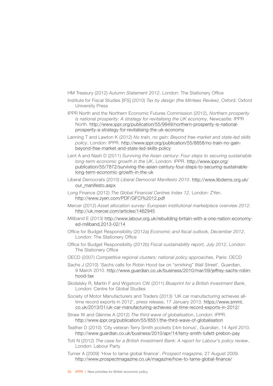HM Treasury (2012) *Autumn Statement 2012*, London: The Stationery Office

- Institute for Fiscal Studies [IFS] (2010) *Tax by design (the Mirrlees Review)*, Oxford: Oxford University Press
- IPPR North and the Northern Economic Futures Commission (2012), *Northern prosperity is national prosperity: A strategy for revitalising the UK economy*, Newcastle: IPPR North. [http://www.ippr.org/publication/55/9949/northern-prosperity-is-national](http://www.ippr.org/publication/55/9949/northern-prosperity-is-national-prosperity-a-strategy-for-revitalising-the-uk-economy)[prosperity-a-strategy-for-revitalising-the-uk-economy](http://www.ippr.org/publication/55/9949/northern-prosperity-is-national-prosperity-a-strategy-for-revitalising-the-uk-economy)
- Lanning T and Lawton K (2012) *No train, no gain: Beyond free-market and state-led skills policy*, London: IPPR. [http://www.ippr.org/publication/55/8858/no-train-no-gain](http://www.ippr.org/publication/55/8858/no-train-no-gain-beyond-free-market-and-state-led-skills-policy)[beyond-free-market-and-state-led-skills-policy](http://www.ippr.org/publication/55/8858/no-train-no-gain-beyond-free-market-and-state-led-skills-policy)
- Lent A and Nash D (2011) *Surviving the Asian century: Four steps to securing sustainable long-term economic growth in the UK*, London: IPPR. [http://www.ippr.org/](http://www.ippr.org/publication/55/7872/surviving-the-asian-century-four-steps-to-securing-sustainable-long-term-economic-growth-in-the-uk) [publication/55/7872/surviving-the-asian-century-four-steps-to-securing-sustainable](http://www.ippr.org/publication/55/7872/surviving-the-asian-century-four-steps-to-securing-sustainable-long-term-economic-growth-in-the-uk)[long-term-economic-growth-in-the-uk](http://www.ippr.org/publication/55/7872/surviving-the-asian-century-four-steps-to-securing-sustainable-long-term-economic-growth-in-the-uk)
- Liberal Democrats (2010) *Liberal Democrat Manifesto 2010*. [http://www.libdems.org.uk/](http://www.libdems.org.uk/our_manifesto.aspx) [our\\_manifesto.aspx](http://www.libdems.org.uk/our_manifesto.aspx)
- Long Finance (2012) *The Global Financial Centres Index 12*, London: ZYen. [http://www.zyen.com/PDF/GFCI%2012.pdf](http://www.zyen.com/PDF/GFCI 12.pdf)
- Mercer (2012) *Asset allocation survey: European institutional marketplace overview 2012*. <http://uk.mercer.com/articles/1462945>
- Miliband E (2013) [http://www.labour.org.uk/rebuilding-britain-with-a-one-nation-economy](http://www.labour.org.uk/rebuilding-britain-with-a-one-nation-economy-ed-miliband,2013-02-14)[ed-miliband,2013-02/14](http://www.labour.org.uk/rebuilding-britain-with-a-one-nation-economy-ed-miliband,2013-02-14)
- Office for Budget Responsibility (2012a) *Economic and fiscal outlook, December 2012*, London: The Stationery Office
- Office for Budget Responsibility (2012b) *Fiscal sustainability report, July 2012*, London: The Stationery Office
- OECD (2007) *Competitive regional clusters: national policy approaches*, Paris: OECD
- Sachs J (2010) 'Sachs calls for Robin Hood tax on "smirking" Wall Street', Guardian, 9 March 2010. [http://www.guardian.co.uk/business/2010/mar/09/jeffrey-sachs-robin](http://www.guardian.co.uk/business/2010/mar/09/jeffrey-sachs-robin-hood-tax)[hood-tax](http://www.guardian.co.uk/business/2010/mar/09/jeffrey-sachs-robin-hood-tax)
- Skidelsky R, Martin F and Wigstrom CW (2011) *Blueprint for a British Investment Bank*, London: Centre for Global Studies
- Society of Motor Manufacturers and Traders (2013) 'UK car manufacturing achieves alltime record exports in 2012', press release, 17 January 2013. [https://www.smmt.](https://www.smmt.co.uk/2013/01/uk-car-manufacturing-achieves-all-time-record-exports-in-2012/) [co.uk/2013/01/uk-car-manufacturing-achieves-all-time-record-exports-in-2012/](https://www.smmt.co.uk/2013/01/uk-car-manufacturing-achieves-all-time-record-exports-in-2012/)
- Straw W and Glennie A (2012) *The third wave of globalisation*, London: IPPR. <http://www.ippr.org/publication/55/8551/the-third-wave-of-globalisation>
- Teather D (2010) 'City veteran Terry Smith pockets £4m bonus', *Guardian*, 14 April 2010. <http://www.guardian.co.uk/business/2010/apr/14/terry-smith-tullett-prebon-pay>
- Tott N (2012) *The case for a British Investment Bank: A report for Labour's policy review*, London: Labour Party
- Turner A (2009) 'How to tame global finance', *Prospect* magazine, 27 August 2009. <http://www.prospectmagazine.co.uk/magazine/how-to-tame-global-finance/>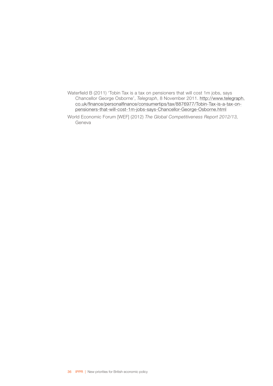Waterfield B (2011) 'Tobin Tax is a tax on pensioners that will cost 1m jobs, says Chancellor George Osborne', *Telegraph*, 8 November 2011. [http://www.telegraph.](http://www.telegraph.co.uk/finance/personalfinance/consumertips/tax/8876977/Tobin-Tax-is-a-tax-on-pensioners-that-will-cost-1m-jobs-says-Chancellor-George-Osborne.html) [co.uk/finance/personalfinance/consumertips/tax/8876977/Tobin-Tax-is-a-tax-on](http://www.telegraph.co.uk/finance/personalfinance/consumertips/tax/8876977/Tobin-Tax-is-a-tax-on-pensioners-that-will-cost-1m-jobs-says-Chancellor-George-Osborne.html)[pensioners-that-will-cost-1m-jobs-says-Chancellor-George-Osborne.html](http://www.telegraph.co.uk/finance/personalfinance/consumertips/tax/8876977/Tobin-Tax-is-a-tax-on-pensioners-that-will-cost-1m-jobs-says-Chancellor-George-Osborne.html)

World Economic Forum [WEF] (2012) *The Global Competitiveness Report 2012/13,* Geneva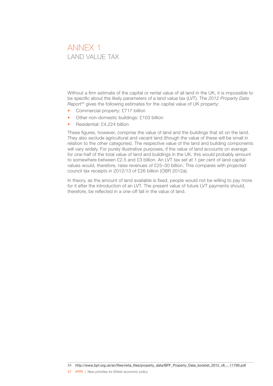### <span id="page-38-0"></span> ANNEX 1 LAND VALUE TAX

Without a firm estimate of the capital or rental value of all land in the UK, it is impossible to be specific about the likely parameters of a land value tax (LVT). The *2012 Property Data Report*34 gives the following estimates for the capital value of UK property:

- Commercial property: £717 billion
- Other non-domestic buildings: £103 billion
- Residential: £4,224 billion

These figures, however, comprise the value of land and the buildings that sit on the land. They also exclude agricultural and vacant land (though the value of these will be small in relation to the other categories). The respective value of the land and building components will vary widely. For purely illustrative purposes, if the value of land accounts on average for one-half of the total value of land and buildings in the UK, this would probably amount to somewhere between £2.5 and £3 billion. An LVT tax set at 1 per cent of land capital values would, therefore, raise revenues of £25–30 billion. This compares with projected council tax receipts in 2012/13 of £26 billion (OBR 2012a).

In theory, as the amount of land available is fixed, people would not be willing to pay more for it after the introduction of an LVT. The present value of future LVT payments should, therefore, be reflected in a one-off fall in the value of land.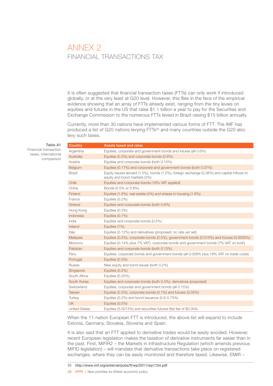### <span id="page-39-0"></span> ANNEX 2 FINANCIAL TRANSACTIONS TAX

It is often suggested that financial transaction taxes (FTTs) can only work if introduced globally, or at the very least at G20 level. However, this flies in the face of the empirical evidence showing that an array of FTTs already exist, ranging from the tiny levies on equities and futures in the US that raise \$1.1 billion a year to pay for the Securities and Exchange Commission to the numerous FTTs levied in Brazil raising \$15 billion annually.

Currently, more than 30 nations have implemented various forms of FTT. The IMF has produced a list of G20 nations levying FTTs<sup>35</sup> and many countries outside the G20 also levy such taxes.

Table A1

Financial transaction taxes, international comparison

| Country              | <b>Assets taxed and rates</b>                                                                                              |
|----------------------|----------------------------------------------------------------------------------------------------------------------------|
| Argentina            | Equities, corporate and government bonds and futures (all 0.6%)                                                            |
| Australia            | Equities (0.3%) and corporate bonds (0.6%)                                                                                 |
| Austria              | Equities and corporate bonds (both 0.15%)                                                                                  |
| Belgium              | Equities (0.17%) and corporate and government bonds (both 0.07%)                                                           |
| <b>Brazil</b>        | Equity issued aboard (1.5%), bonds (1.5%), foreign exchange (0.38%) and capital inflows to<br>equity and bond markets (2%) |
| Chile                | Equities and corporate bonds (18% VAT applied)                                                                             |
| China                | Bonds (0.5% or 0.8%)                                                                                                       |
| Finland              | Equities (1.6%), real estate (4%) and shares in housing (1.6%)                                                             |
| France               | Equities $(0.2\%)$                                                                                                         |
| Greece               | Equities and corporate bonds (both 0.6%)                                                                                   |
| Hong Kong            | Equities (0.3%)                                                                                                            |
| Indonesia            | Equities (0.1%)                                                                                                            |
| India                | Equities and corporate bonds (0.5%)                                                                                        |
| Ireland              | Equities (1%)                                                                                                              |
| Italy                | Equities (0.12%) and derivatives (proposed, no rate yet set)                                                               |
| Malaysia             | Equities (0.5%), corporate bonds (0.5%), government bonds (0.015%) and futures (0.0005%)                                   |
| Morocco              | Equities (0.14% plus 7% VAT), corporate bonds and government bonds (7% VAT on both)                                        |
| Pakistan             | Equities and corporate bonds (both 0.15%)                                                                                  |
| Peru                 | Equities, corporate bonds and government bonds (all 0.008% plus 18% VAT on trade costs)                                    |
| Portugal             | Equities (0.3%)                                                                                                            |
| Russia               | New equity and bond issues (both 0.2%)                                                                                     |
| Singapore            | Equities (0.2%)                                                                                                            |
| South Africa         | Equities (0.25%)                                                                                                           |
| South Korea          | Equities and corporate bonds (both 0.3%); derivatives (proposed)                                                           |
| Switzerland          | Equities, corporate and government bonds (all 0.15%)                                                                       |
| Taiwan               | Equities (0.3%), corporate bonds (0.1%) and futures (0.05%)                                                                |
| Turkey               | Equities $(0.2\%)$ and bond issuance $(0.6-0.75\%)$                                                                        |
| <b>UK</b>            | Equities (0.5%)                                                                                                            |
| <b>United States</b> | Equities (0.0013%) and securities futures (flat fee of \$0.004)                                                            |

When the 11-nation European FTT is introduced, the above list will expand to include Estonia, Germany, Slovakia, Slovenia and Spain.

It is also said that an FTT applied to derivative trades would be easily avoided. However, recent European legislation makes the taxation of derivative instruments far easier than in the past. First, MiFIR2 – the Markets in Infrastructure Regulation (which amends previous MiFID legislation) – will mandate that derivative transactions take place on registered exchanges, where they can be easily monitored and therefore taxed. Likewise, EMIR –

38 IPPR | New priorities for British economic policy

<sup>35</sup> <http://www.imf.org/external/pubs/ft/wp/2011/wp1154.pdf>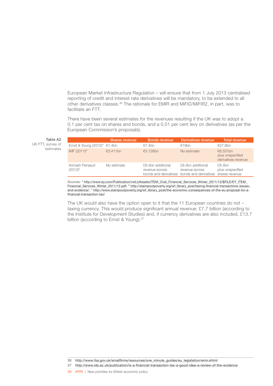European Market Infrastructure Regulation – will ensure that from 1 July 2013 centralised reporting of credit and interest rate derivatives will be mandatory, to be extended to all other derivatives classes.36 The rationale for EMIR and MiFID/MiFIR2, in part, was to facilitate an FTT.

There have been several estimates for the revenues resulting if the UK was to adopt a 0.1 per cent tax on shares and bonds, and a 0.01 per cent levy on derivatives (as per the European Commission's proposals).

Table A2 UK FTT, survey of estimates

|                                 | <b>Shares revenue</b> | <b>Bonds revenue</b>                | Derivatives revenue                                                                | <b>Total revenue</b>                                |
|---------------------------------|-----------------------|-------------------------------------|------------------------------------------------------------------------------------|-----------------------------------------------------|
| Ernst & Young $(2012)^A$ €1.4bn |                       | €7.4bn                              | €19 $bn$                                                                           | €27.8bn                                             |
| IMF (2011) <sup>B</sup>         | €3.411bn              | €3.126bn                            | No estimate                                                                        | €6.537bn<br>plus unspecified<br>derivatives revenue |
| Avinash Persaud<br>$(2012)^{c}$ | No estimate           | £8.4bn additional<br>revenue across | £8.4bn additional<br>revenue across<br>bonds and derivatives bonds and derivatives | £8.4bn<br>plus unspecified<br>shares revenue        |

Sources: A [http://www.ey.com/Publication/vwLUAssets/ITEM\\_Club\\_Financial\\_Services\\_Winter\\_2011/12/\\$FILE/EY\\_ITEM\\_](http://www.ey.com/Publication/vwLUAssets/ITEM_Club_Financial_Services_Winter_2011-12/$FILE/EY_ITEM_Financial_Services_Winter_2011-12.pdf) [Financial\\_Services\\_Winter\\_2011/12.pdf;](http://www.ey.com/Publication/vwLUAssets/ITEM_Club_Financial_Services_Winter_2011-12/$FILE/EY_ITEM_Financial_Services_Winter_2011-12.pdf) <sup>B</sup> [http://stampoutpoverty.org/wf\\_library\\_post/taxing-financial-transactions-issues](http://stampoutpoverty.org/wf_library_post/taxing-financial-transactions-issues-and-evidence/)[and-evidence/](http://stampoutpoverty.org/wf_library_post/taxing-financial-transactions-issues-and-evidence/); C [http://www.stampoutpoverty.org/wf\\_library\\_post/the-economic-consequences-of-the-eu-proposal-for-a](http://www.stampoutpoverty.org/wf_library_post/the-economic-consequences-of-the-eu-proposal-for-a-financial-transaction-tax/)[financial-transaction-tax/](http://www.stampoutpoverty.org/wf_library_post/the-economic-consequences-of-the-eu-proposal-for-a-financial-transaction-tax/)

The UK would also have the option open to it that the 11 European countries do not – taxing currency. This would produce significant annual revenue: £7.7 billion (according to the Institute for Development Studies) and, if currency derivatives are also included, £13.7 billion (according to Ernst & Young).<sup>37</sup>

<sup>36</sup> [http://www.fsa.gov.uk/smallfirms/resources/one\\_minute\\_guides/eu\\_legislation/emir.shtml](http://www.fsa.gov.uk/smallfirms/resources/one_minute_guides/eu_legislation/emir.shtml)

<sup>37</sup> <http://www.ids.ac.uk/publication/is-a-financial-transaction-tax-a-good-idea-a-review-of-the-evidence>